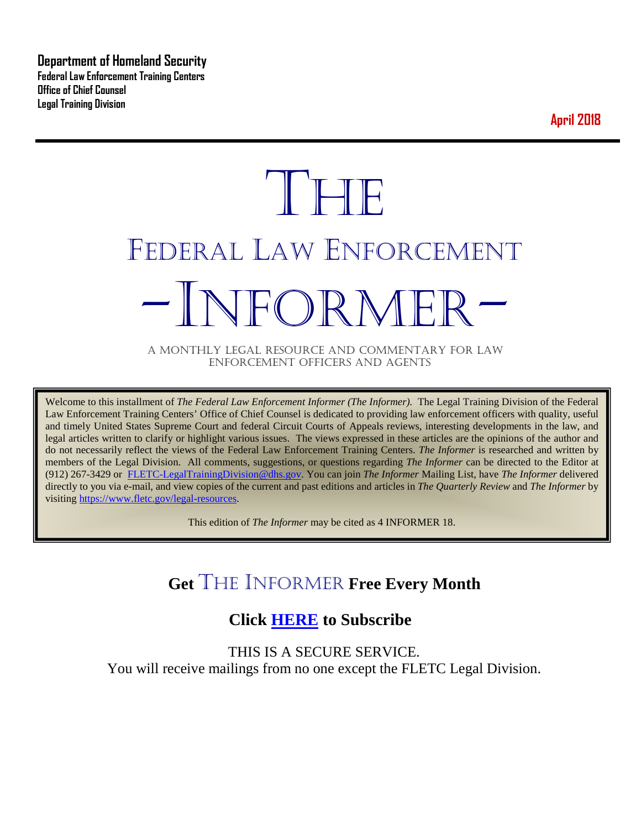**Department of Homeland Security Federal Law Enforcement Training Centers Office of Chief Counsel Legal Training Division** 

**April 2018**

# **THE** FEDERAL LAW ENFORCEMENT -INFORMER- A MONTHLY LEGAL RESOURCE AND COMMENTARY FOR LAW

ENFORCEMENT OFFICERS AND AGENTS

Welcome to this installment of *The Federal Law Enforcement Informer (The Informer).* The Legal Training Division of the Federal Law Enforcement Training Centers' Office of Chief Counsel is dedicated to providing law enforcement officers with quality, useful and timely United States Supreme Court and federal Circuit Courts of Appeals reviews, interesting developments in the law, and legal articles written to clarify or highlight various issues. The views expressed in these articles are the opinions of the author and do not necessarily reflect the views of the Federal Law Enforcement Training Centers. *The Informer* is researched and written by members of the Legal Division. All comments, suggestions, or questions regarding *The Informer* can be directed to the Editor at (912) 267-3429 or [FLETC-LegalTrainingDivision@dhs.gov.](mailto:FLETC-LegalTrainingDivision@dhs.gov) You can join *The Informer* Mailing List, have *The Informer* delivered directly to you via e-mail, and view copies of the current and past editions and articles in *The Quarterly Review* and *The Informer* by visiting [https://www.fletc.gov/legal-resources.](https://www.fletc.gov/legal-resources) 

This edition of *The Informer* may be cited as 4 INFORMER 18.

# **Get** THE INFORMER **Free Every Month**

# **Click [HERE](https://app.co-sender.com/opt-in/list/7b007eab-378b-4542-807f-44d6de94cb7e) to Subscribe**

THIS IS A SECURE SERVICE. You will receive mailings from no one except the FLETC Legal Division.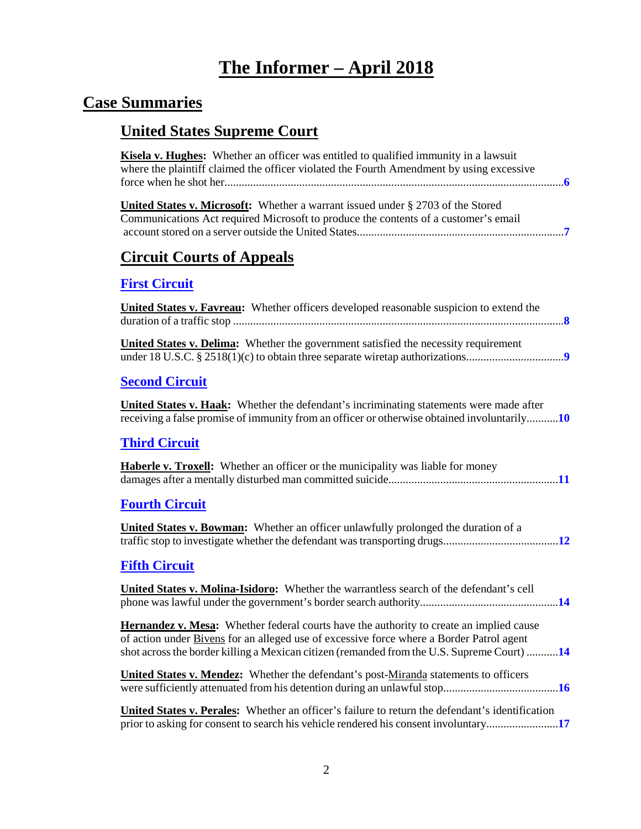# **The Informer – April 2018**

# **Case Summaries**

# **United States Supreme Court**

| <b>Kisela v. Hughes:</b> Whether an officer was entitled to qualified immunity in a lawsuit<br>where the plaintiff claimed the officer violated the Fourth Amendment by using excessive                                                                                                  |
|------------------------------------------------------------------------------------------------------------------------------------------------------------------------------------------------------------------------------------------------------------------------------------------|
| <b>United States v. Microsoft:</b> Whether a warrant issued under $\S$ 2703 of the Stored<br>Communications Act required Microsoft to produce the contents of a customer's email                                                                                                         |
| <b>Circuit Courts of Appeals</b>                                                                                                                                                                                                                                                         |
| <b>First Circuit</b>                                                                                                                                                                                                                                                                     |
| <b>United States v. Favreau:</b> Whether officers developed reasonable suspicion to extend the                                                                                                                                                                                           |
| <b>United States v. Delima:</b> Whether the government satisfied the necessity requirement                                                                                                                                                                                               |
| <b>Second Circuit</b>                                                                                                                                                                                                                                                                    |
| <b>United States v. Haak:</b> Whether the defendant's incriminating statements were made after<br>receiving a false promise of immunity from an officer or otherwise obtained involuntarily10                                                                                            |
| <b>Third Circuit</b>                                                                                                                                                                                                                                                                     |
| <b>Haberle v. Troxell:</b> Whether an officer or the municipality was liable for money                                                                                                                                                                                                   |
| <b>Fourth Circuit</b>                                                                                                                                                                                                                                                                    |
| <b>United States v. Bowman:</b> Whether an officer unlawfully prolonged the duration of a                                                                                                                                                                                                |
| <b>Fifth Circuit</b>                                                                                                                                                                                                                                                                     |
| United States v. Molina-Isidoro: Whether the warrantless search of the defendant's cell                                                                                                                                                                                                  |
| <b>Hernandez v. Mesa:</b> Whether federal courts have the authority to create an implied cause<br>of action under Bivens for an alleged use of excessive force where a Border Patrol agent<br>shot across the border killing a Mexican citizen (remanded from the U.S. Supreme Court) 14 |
| <b>United States v. Mendez:</b> Whether the defendant's post-Miranda statements to officers                                                                                                                                                                                              |
| <b>United States v. Perales:</b> Whether an officer's failure to return the defendant's identification<br>prior to asking for consent to search his vehicle rendered his consent involuntary17                                                                                           |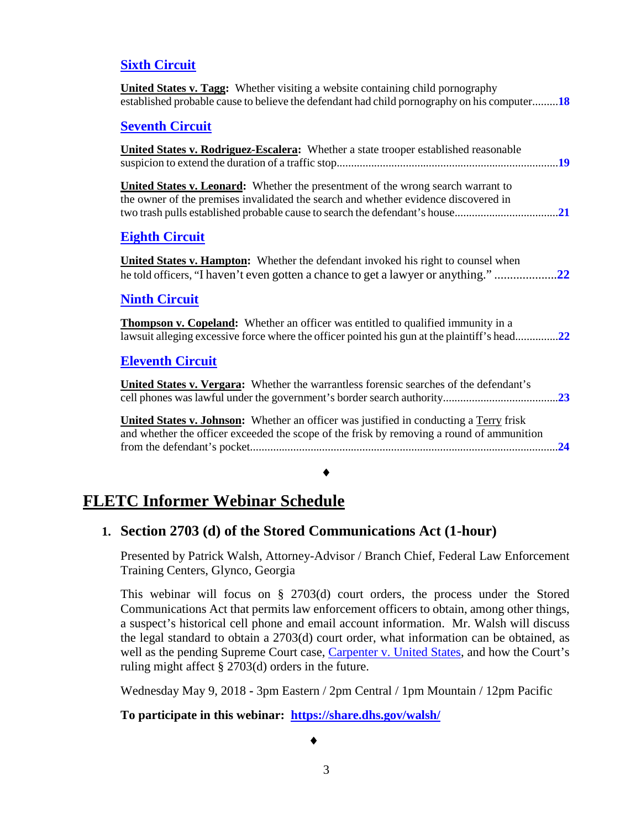#### **[Sixth Circuit](#page-17-0)**

| <b>United States v. Tagg:</b> Whether visiting a website containing child pornography<br>established probable cause to believe the defendant had child pornography on his computer18       |
|--------------------------------------------------------------------------------------------------------------------------------------------------------------------------------------------|
| <b>Seventh Circuit</b>                                                                                                                                                                     |
| <b>United States v. Rodriguez-Escalera:</b> Whether a state trooper established reasonable                                                                                                 |
| <b>United States v. Leonard:</b> Whether the presentment of the wrong search warrant to<br>the owner of the premises invalidated the search and whether evidence discovered in             |
| <b>Eighth Circuit</b>                                                                                                                                                                      |
| <b>United States v. Hampton:</b> Whether the defendant invoked his right to counsel when<br>he told officers, "I haven't even gotten a chance to get a lawyer or anything."<br>.22         |
| <b>Ninth Circuit</b>                                                                                                                                                                       |
| <b>Thompson v. Copeland:</b> Whether an officer was entitled to qualified immunity in a<br>lawsuit alleging excessive force where the officer pointed his gun at the plaintiff's head22    |
| <b>Eleventh Circuit</b>                                                                                                                                                                    |
| United States v. Vergara: Whether the warrantless forensic searches of the defendant's                                                                                                     |
| <b>United States v. Johnson:</b> Whether an officer was justified in conducting a Terry frisk<br>and whether the officer exceeded the scope of the frisk by removing a round of ammunition |
| <b>FLETC Informer Webinar Schedule</b>                                                                                                                                                     |

## **1. Section 2703 (d) of the Stored Communications Act (1-hour)**

Presented by Patrick Walsh, Attorney-Advisor / Branch Chief, Federal Law Enforcement Training Centers, Glynco, Georgia

This webinar will focus on § 2703(d) court orders, the process under the Stored Communications Act that permits law enforcement officers to obtain, among other things, a suspect's historical cell phone and email account information. Mr. Walsh will discuss the legal standard to obtain a 2703(d) court order, what information can be obtained, as well as the pending Supreme Court case, [Carpenter v. United States,](http://www.scotusblog.com/case-files/cases/carpenter-v-united-states-2/) and how the Court's ruling might affect § 2703(d) orders in the future.

Wednesday May 9, 2018 **-** 3pm Eastern / 2pm Central / 1pm Mountain / 12pm Pacific

**To participate in this webinar: <https://share.dhs.gov/walsh/>**

♦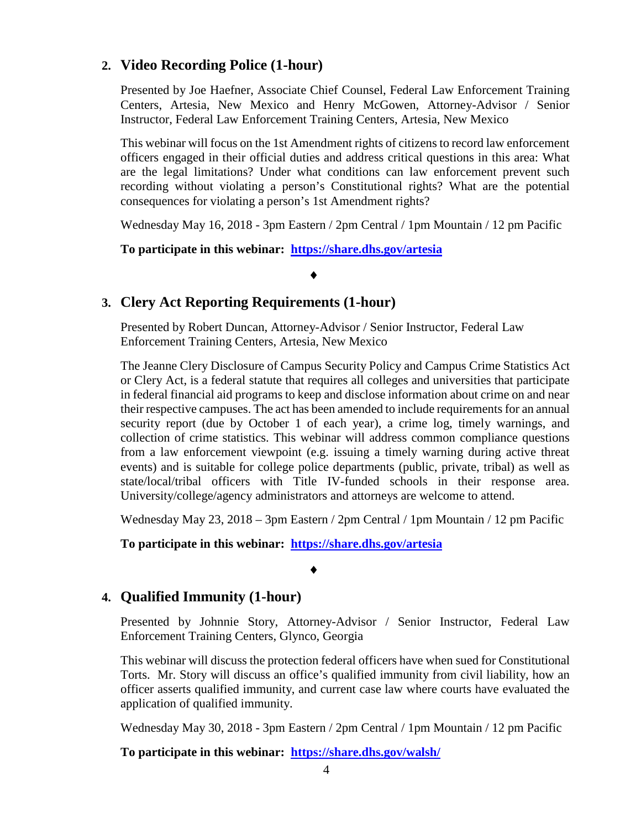#### **2. Video Recording Police (1-hour)**

Presented by Joe Haefner, Associate Chief Counsel, Federal Law Enforcement Training Centers, Artesia, New Mexico and Henry McGowen, Attorney-Advisor / Senior Instructor, Federal Law Enforcement Training Centers, Artesia, New Mexico

This webinar will focus on the 1st Amendment rights of citizens to record law enforcement officers engaged in their official duties and address critical questions in this area: What are the legal limitations? Under what conditions can law enforcement prevent such recording without violating a person's Constitutional rights? What are the potential consequences for violating a person's 1st Amendment rights?

Wednesday May 16, 2018 - 3pm Eastern / 2pm Central / 1pm Mountain / 12 pm Pacific

**To participate in this webinar: <https://share.dhs.gov/artesia>**

#### ♦

#### **3. Clery Act Reporting Requirements (1-hour)**

Presented by Robert Duncan, Attorney-Advisor / Senior Instructor, Federal Law Enforcement Training Centers, Artesia, New Mexico

The Jeanne Clery Disclosure of Campus Security Policy and Campus Crime Statistics Act or Clery Act, is a federal statute that requires all colleges and universities that participate in federal financial aid programs to keep and disclose information about crime on and near their respective campuses. The act has been amended to include requirements for an annual security report (due by October 1 of each year), a crime log, timely warnings, and collection of crime statistics. This webinar will address common compliance questions from a law enforcement viewpoint (e.g. issuing a timely warning during active threat events) and is suitable for college police departments (public, private, tribal) as well as state/local/tribal officers with Title IV-funded schools in their response area. University/college/agency administrators and attorneys are welcome to attend.

Wednesday May 23, 2018 – 3pm Eastern / 2pm Central / 1pm Mountain / 12 pm Pacific

**To participate in this webinar: <https://share.dhs.gov/artesia>**

♦

#### **4. Qualified Immunity (1-hour)**

Presented by Johnnie Story, Attorney-Advisor / Senior Instructor, Federal Law Enforcement Training Centers, Glynco, Georgia

This webinar will discuss the protection federal officers have when sued for Constitutional Torts. Mr. Story will discuss an office's qualified immunity from civil liability, how an officer asserts qualified immunity, and current case law where courts have evaluated the application of qualified immunity.

Wednesday May 30, 2018 - 3pm Eastern / 2pm Central / 1pm Mountain / 12 pm Pacific

**To participate in this webinar: <https://share.dhs.gov/walsh/>**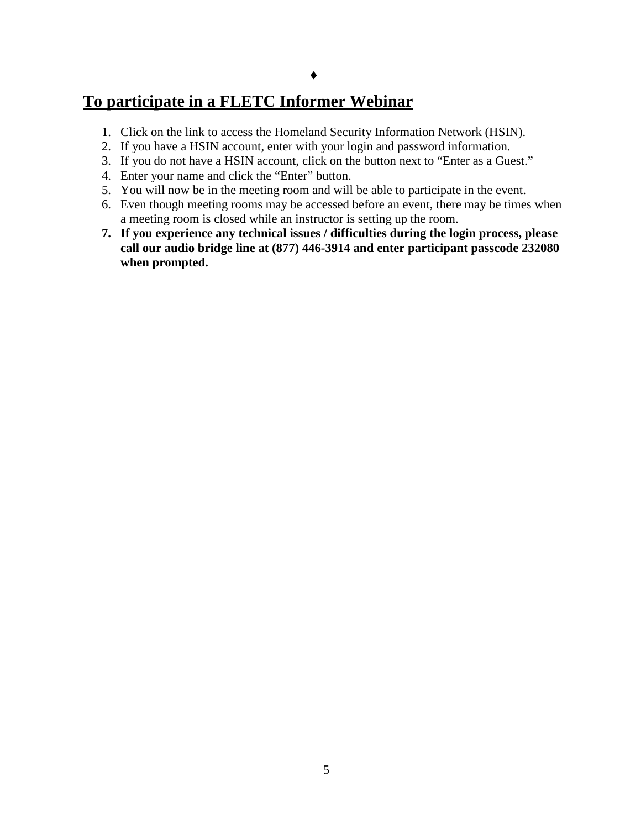## **To participate in a FLETC Informer Webinar**

- 1. Click on the link to access the Homeland Security Information Network (HSIN).
- 2. If you have a HSIN account, enter with your login and password information.
- 3. If you do not have a HSIN account, click on the button next to "Enter as a Guest."
- 4. Enter your name and click the "Enter" button.
- 5. You will now be in the meeting room and will be able to participate in the event.
- 6. Even though meeting rooms may be accessed before an event, there may be times when a meeting room is closed while an instructor is setting up the room.
- **7. If you experience any technical issues / difficulties during the login process, please call our audio bridge line at (877) 446-3914 and enter participant passcode 232080 when prompted.**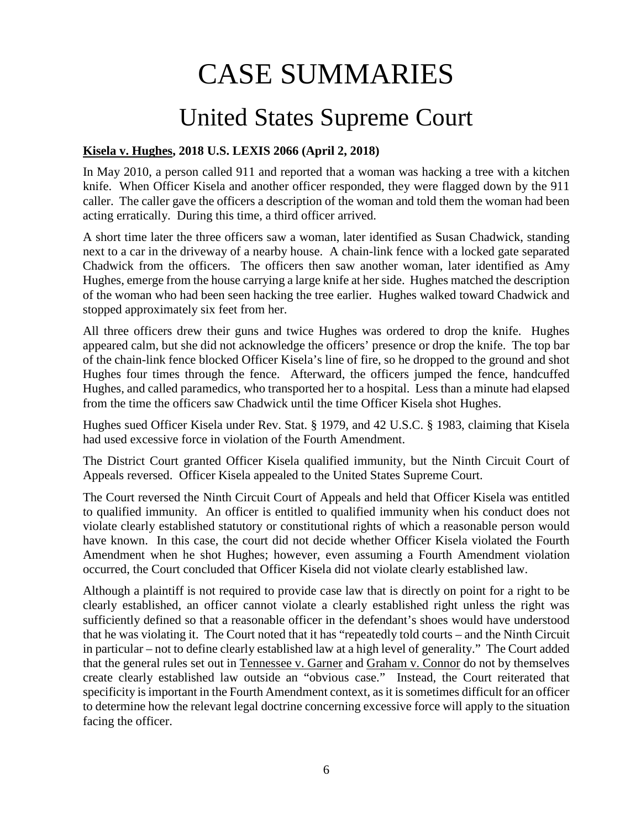# CASE SUMMARIES

# United States Supreme Court

#### <span id="page-5-1"></span><span id="page-5-0"></span>**Kisela v. Hughes, 2018 U.S. LEXIS 2066 (April 2, 2018)**

In May 2010, a person called 911 and reported that a woman was hacking a tree with a kitchen knife. When Officer Kisela and another officer responded, they were flagged down by the 911 caller. The caller gave the officers a description of the woman and told them the woman had been acting erratically. During this time, a third officer arrived.

A short time later the three officers saw a woman, later identified as Susan Chadwick, standing next to a car in the driveway of a nearby house. A chain-link fence with a locked gate separated Chadwick from the officers. The officers then saw another woman, later identified as Amy Hughes, emerge from the house carrying a large knife at her side. Hughes matched the description of the woman who had been seen hacking the tree earlier. Hughes walked toward Chadwick and stopped approximately six feet from her.

All three officers drew their guns and twice Hughes was ordered to drop the knife. Hughes appeared calm, but she did not acknowledge the officers' presence or drop the knife. The top bar of the chain-link fence blocked Officer Kisela's line of fire, so he dropped to the ground and shot Hughes four times through the fence. Afterward, the officers jumped the fence, handcuffed Hughes, and called paramedics, who transported her to a hospital. Less than a minute had elapsed from the time the officers saw Chadwick until the time Officer Kisela shot Hughes.

Hughes sued Officer Kisela under Rev. Stat. § 1979, and 42 U.S.C. § 1983, claiming that Kisela had used excessive force in violation of the Fourth Amendment.

The District Court granted Officer Kisela qualified immunity, but the Ninth Circuit Court of Appeals reversed. Officer Kisela appealed to the United States Supreme Court.

The Court reversed the Ninth Circuit Court of Appeals and held that Officer Kisela was entitled to qualified immunity. An officer is entitled to qualified immunity when his conduct does not violate clearly established statutory or constitutional rights of which a reasonable person would have known. In this case, the court did not decide whether Officer Kisela violated the Fourth Amendment when he shot Hughes; however, even assuming a Fourth Amendment violation occurred, the Court concluded that Officer Kisela did not violate clearly established law.

Although a plaintiff is not required to provide case law that is directly on point for a right to be clearly established, an officer cannot violate a clearly established right unless the right was sufficiently defined so that a reasonable officer in the defendant's shoes would have understood that he was violating it. The Court noted that it has "repeatedly told courts – and the Ninth Circuit in particular – not to define clearly established law at a high level of generality." The Court added that the general rules set out in Tennessee v. Garner and Graham v. Connor do not by themselves create clearly established law outside an "obvious case." Instead, the Court reiterated that specificity is important in the Fourth Amendment context, as it is sometimes difficult for an officer to determine how the relevant legal doctrine concerning excessive force will apply to the situation facing the officer.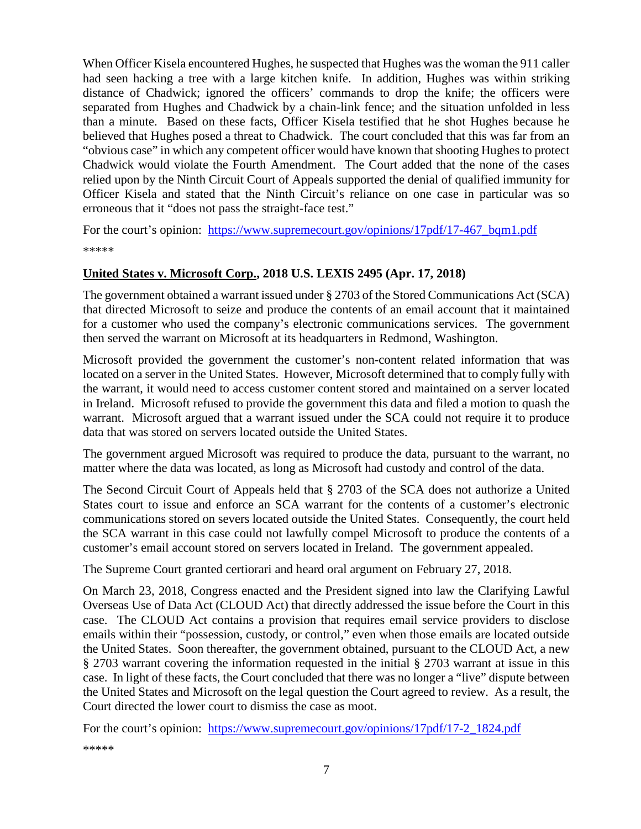When Officer Kisela encountered Hughes, he suspected that Hughes was the woman the 911 caller had seen hacking a tree with a large kitchen knife. In addition, Hughes was within striking distance of Chadwick; ignored the officers' commands to drop the knife; the officers were separated from Hughes and Chadwick by a chain-link fence; and the situation unfolded in less than a minute. Based on these facts, Officer Kisela testified that he shot Hughes because he believed that Hughes posed a threat to Chadwick. The court concluded that this was far from an "obvious case" in which any competent officer would have known that shooting Hughes to protect Chadwick would violate the Fourth Amendment. The Court added that the none of the cases relied upon by the Ninth Circuit Court of Appeals supported the denial of qualified immunity for Officer Kisela and stated that the Ninth Circuit's reliance on one case in particular was so erroneous that it "does not pass the straight-face test."

For the court's opinion: [https://www.supremecourt.gov/opinions/17pdf/17-467\\_bqm1.pdf](https://www.supremecourt.gov/opinions/17pdf/17-467_bqm1.pdf) \*\*\*\*\*

#### <span id="page-6-0"></span>**United States v. Microsoft Corp., 2018 U.S. LEXIS 2495 (Apr. 17, 2018)**

The government obtained a warrant issued under § 2703 of the Stored Communications Act (SCA) that directed Microsoft to seize and produce the contents of an email account that it maintained for a customer who used the company's electronic communications services. The government then served the warrant on Microsoft at its headquarters in Redmond, Washington.

Microsoft provided the government the customer's non-content related information that was located on a server in the United States. However, Microsoft determined that to comply fully with the warrant, it would need to access customer content stored and maintained on a server located in Ireland. Microsoft refused to provide the government this data and filed a motion to quash the warrant. Microsoft argued that a warrant issued under the SCA could not require it to produce data that was stored on servers located outside the United States.

The government argued Microsoft was required to produce the data, pursuant to the warrant, no matter where the data was located, as long as Microsoft had custody and control of the data.

The Second Circuit Court of Appeals held that § 2703 of the SCA does not authorize a United States court to issue and enforce an SCA warrant for the contents of a customer's electronic communications stored on severs located outside the United States. Consequently, the court held the SCA warrant in this case could not lawfully compel Microsoft to produce the contents of a customer's email account stored on servers located in Ireland. The government appealed.

The Supreme Court granted certiorari and heard oral argument on February 27, 2018.

On March 23, 2018, Congress enacted and the President signed into law the Clarifying Lawful Overseas Use of Data Act (CLOUD Act) that directly addressed the issue before the Court in this case. The CLOUD Act contains a provision that requires email service providers to disclose emails within their "possession, custody, or control," even when those emails are located outside the United States. Soon thereafter, the government obtained, pursuant to the CLOUD Act, a new § 2703 warrant covering the information requested in the initial § 2703 warrant at issue in this case. In light of these facts, the Court concluded that there was no longer a "live" dispute between the United States and Microsoft on the legal question the Court agreed to review. As a result, the Court directed the lower court to dismiss the case as moot.

For the court's opinion: https://www.supremecourt.gov/opinions/17pdf/17-2 1824.pdf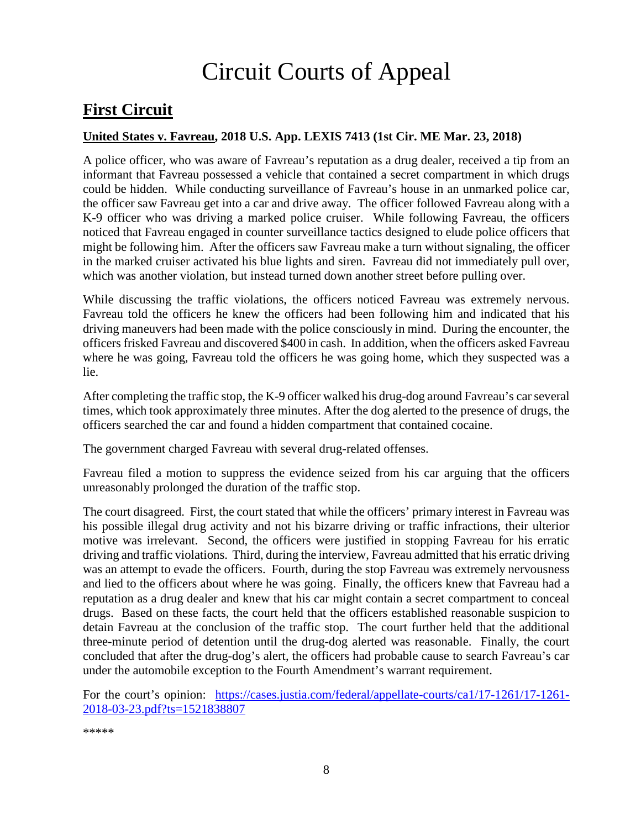# Circuit Courts of Appeal

# <span id="page-7-0"></span>**First Circuit**

#### <span id="page-7-1"></span>**United States v. Favreau, 2018 U.S. App. LEXIS 7413 (1st Cir. ME Mar. 23, 2018)**

A police officer, who was aware of Favreau's reputation as a drug dealer, received a tip from an informant that Favreau possessed a vehicle that contained a secret compartment in which drugs could be hidden. While conducting surveillance of Favreau's house in an unmarked police car, the officer saw Favreau get into a car and drive away. The officer followed Favreau along with a K-9 officer who was driving a marked police cruiser. While following Favreau, the officers noticed that Favreau engaged in counter surveillance tactics designed to elude police officers that might be following him. After the officers saw Favreau make a turn without signaling, the officer in the marked cruiser activated his blue lights and siren. Favreau did not immediately pull over, which was another violation, but instead turned down another street before pulling over.

While discussing the traffic violations, the officers noticed Favreau was extremely nervous. Favreau told the officers he knew the officers had been following him and indicated that his driving maneuvers had been made with the police consciously in mind. During the encounter, the officers frisked Favreau and discovered \$400 in cash. In addition, when the officers asked Favreau where he was going, Favreau told the officers he was going home, which they suspected was a lie.

After completing the traffic stop, the K-9 officer walked his drug-dog around Favreau's car several times, which took approximately three minutes. After the dog alerted to the presence of drugs, the officers searched the car and found a hidden compartment that contained cocaine.

The government charged Favreau with several drug-related offenses.

Favreau filed a motion to suppress the evidence seized from his car arguing that the officers unreasonably prolonged the duration of the traffic stop.

The court disagreed. First, the court stated that while the officers' primary interest in Favreau was his possible illegal drug activity and not his bizarre driving or traffic infractions, their ulterior motive was irrelevant. Second, the officers were justified in stopping Favreau for his erratic driving and traffic violations. Third, during the interview, Favreau admitted that his erratic driving was an attempt to evade the officers. Fourth, during the stop Favreau was extremely nervousness and lied to the officers about where he was going. Finally, the officers knew that Favreau had a reputation as a drug dealer and knew that his car might contain a secret compartment to conceal drugs. Based on these facts, the court held that the officers established reasonable suspicion to detain Favreau at the conclusion of the traffic stop. The court further held that the additional three-minute period of detention until the drug-dog alerted was reasonable. Finally, the court concluded that after the drug-dog's alert, the officers had probable cause to search Favreau's car under the automobile exception to the Fourth Amendment's warrant requirement.

For the court's opinion: [https://cases.justia.com/federal/appellate-courts/ca1/17-1261/17-1261-](https://cases.justia.com/federal/appellate-courts/ca1/17-1261/17-1261-2018-03-23.pdf?ts=1521838807) [2018-03-23.pdf?ts=1521838807](https://cases.justia.com/federal/appellate-courts/ca1/17-1261/17-1261-2018-03-23.pdf?ts=1521838807)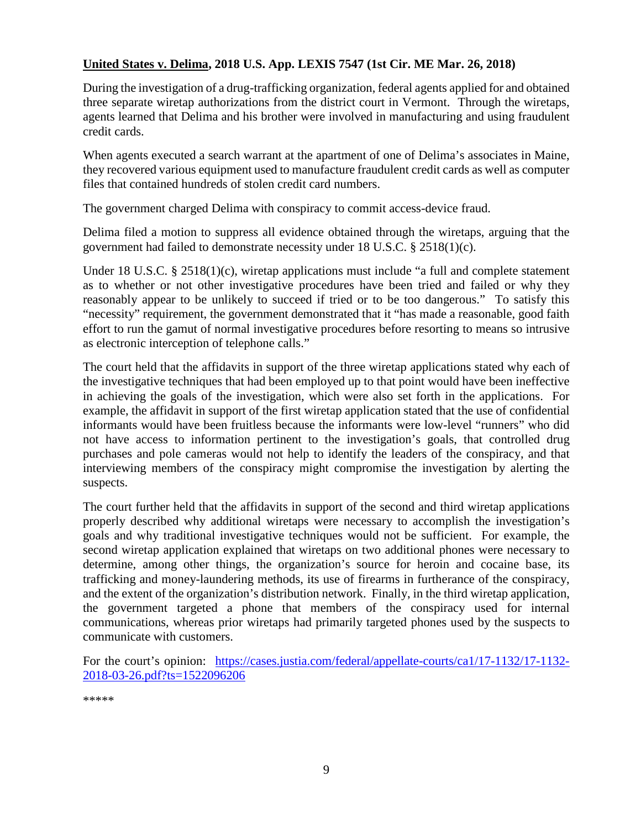#### <span id="page-8-0"></span>**United States v. Delima, 2018 U.S. App. LEXIS 7547 (1st Cir. ME Mar. 26, 2018)**

During the investigation of a drug-trafficking organization, federal agents applied for and obtained three separate wiretap authorizations from the district court in Vermont. Through the wiretaps, agents learned that Delima and his brother were involved in manufacturing and using fraudulent credit cards.

When agents executed a search warrant at the apartment of one of Delima's associates in Maine, they recovered various equipment used to manufacture fraudulent credit cards as well as computer files that contained hundreds of stolen credit card numbers.

The government charged Delima with conspiracy to commit access-device fraud.

Delima filed a motion to suppress all evidence obtained through the wiretaps, arguing that the government had failed to demonstrate necessity under 18 U.S.C. § 2518(1)(c).

Under 18 U.S.C. § 2518(1)(c), wiretap applications must include "a full and complete statement as to whether or not other investigative procedures have been tried and failed or why they reasonably appear to be unlikely to succeed if tried or to be too dangerous." To satisfy this "necessity" requirement, the government demonstrated that it "has made a reasonable, good faith effort to run the gamut of normal investigative procedures before resorting to means so intrusive as electronic interception of telephone calls."

The court held that the affidavits in support of the three wiretap applications stated why each of the investigative techniques that had been employed up to that point would have been ineffective in achieving the goals of the investigation, which were also set forth in the applications. For example, the affidavit in support of the first wiretap application stated that the use of confidential informants would have been fruitless because the informants were low-level "runners" who did not have access to information pertinent to the investigation's goals, that controlled drug purchases and pole cameras would not help to identify the leaders of the conspiracy, and that interviewing members of the conspiracy might compromise the investigation by alerting the suspects.

The court further held that the affidavits in support of the second and third wiretap applications properly described why additional wiretaps were necessary to accomplish the investigation's goals and why traditional investigative techniques would not be sufficient. For example, the second wiretap application explained that wiretaps on two additional phones were necessary to determine, among other things, the organization's source for heroin and cocaine base, its trafficking and money-laundering methods, its use of firearms in furtherance of the conspiracy, and the extent of the organization's distribution network. Finally, in the third wiretap application, the government targeted a phone that members of the conspiracy used for internal communications, whereas prior wiretaps had primarily targeted phones used by the suspects to communicate with customers.

For the court's opinion: [https://cases.justia.com/federal/appellate-courts/ca1/17-1132/17-1132-](https://cases.justia.com/federal/appellate-courts/ca1/17-1132/17-1132-2018-03-26.pdf?ts=1522096206) [2018-03-26.pdf?ts=1522096206](https://cases.justia.com/federal/appellate-courts/ca1/17-1132/17-1132-2018-03-26.pdf?ts=1522096206)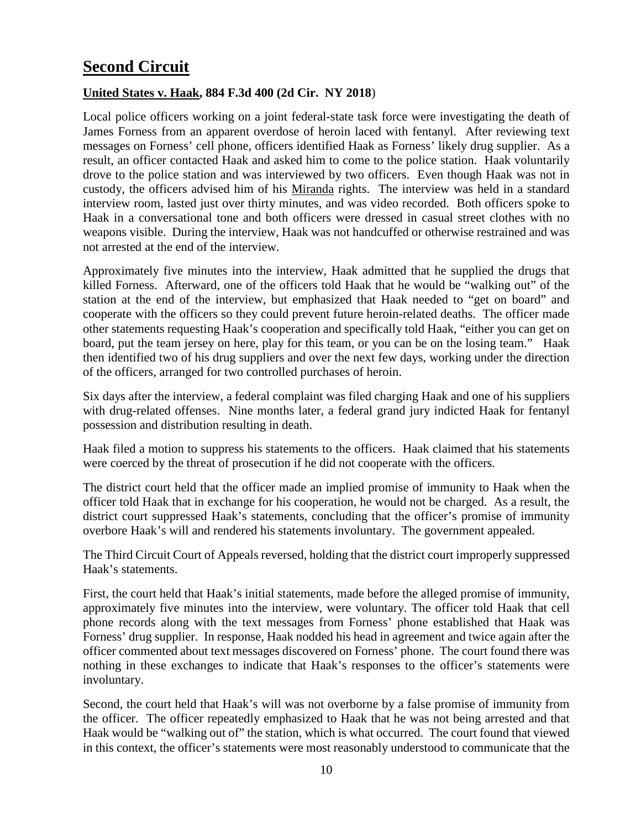# <span id="page-9-0"></span>**Second Circuit**

#### <span id="page-9-1"></span>**United States v. Haak, 884 F.3d 400 (2d Cir. NY 2018**)

Local police officers working on a joint federal-state task force were investigating the death of James Forness from an apparent overdose of heroin laced with fentanyl. After reviewing text messages on Forness' cell phone, officers identified Haak as Forness' likely drug supplier. As a result, an officer contacted Haak and asked him to come to the police station. Haak voluntarily drove to the police station and was interviewed by two officers. Even though Haak was not in custody, the officers advised him of his Miranda rights. The interview was held in a standard interview room, lasted just over thirty minutes, and was video recorded. Both officers spoke to Haak in a conversational tone and both officers were dressed in casual street clothes with no weapons visible. During the interview, Haak was not handcuffed or otherwise restrained and was not arrested at the end of the interview.

Approximately five minutes into the interview, Haak admitted that he supplied the drugs that killed Forness. Afterward, one of the officers told Haak that he would be "walking out" of the station at the end of the interview, but emphasized that Haak needed to "get on board" and cooperate with the officers so they could prevent future heroin-related deaths. The officer made other statements requesting Haak's cooperation and specifically told Haak, "either you can get on board, put the team jersey on here, play for this team, or you can be on the losing team." Haak then identified two of his drug suppliers and over the next few days, working under the direction of the officers, arranged for two controlled purchases of heroin.

Six days after the interview, a federal complaint was filed charging Haak and one of his suppliers with drug-related offenses. Nine months later, a federal grand jury indicted Haak for fentanyl possession and distribution resulting in death.

Haak filed a motion to suppress his statements to the officers. Haak claimed that his statements were coerced by the threat of prosecution if he did not cooperate with the officers.

The district court held that the officer made an implied promise of immunity to Haak when the officer told Haak that in exchange for his cooperation, he would not be charged. As a result, the district court suppressed Haak's statements, concluding that the officer's promise of immunity overbore Haak's will and rendered his statements involuntary. The government appealed.

The Third Circuit Court of Appeals reversed, holding that the district court improperly suppressed Haak's statements.

First, the court held that Haak's initial statements, made before the alleged promise of immunity, approximately five minutes into the interview, were voluntary. The officer told Haak that cell phone records along with the text messages from Forness' phone established that Haak was Forness' drug supplier. In response, Haak nodded his head in agreement and twice again after the officer commented about text messages discovered on Forness' phone. The court found there was nothing in these exchanges to indicate that Haak's responses to the officer's statements were involuntary.

Second, the court held that Haak's will was not overborne by a false promise of immunity from the officer. The officer repeatedly emphasized to Haak that he was not being arrested and that Haak would be "walking out of" the station, which is what occurred. The court found that viewed in this context, the officer's statements were most reasonably understood to communicate that the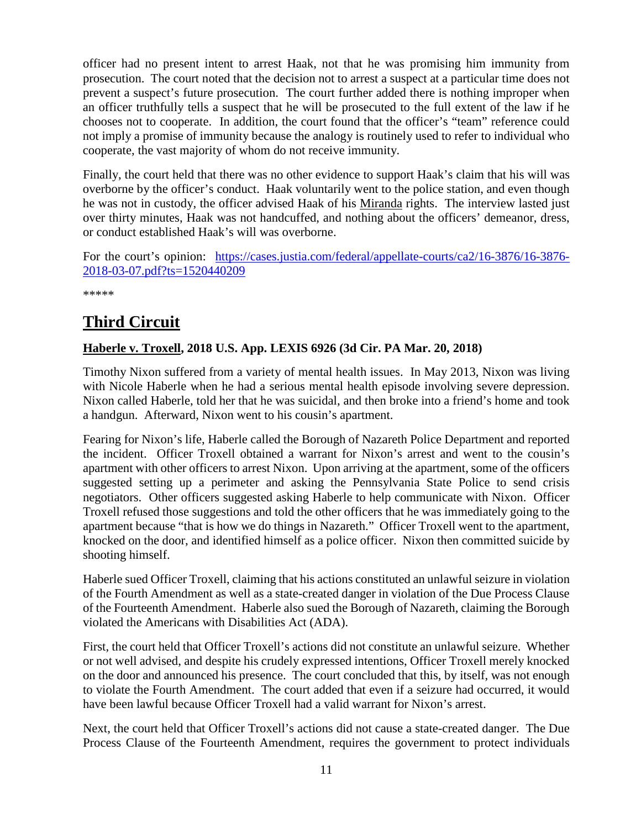officer had no present intent to arrest Haak, not that he was promising him immunity from prosecution. The court noted that the decision not to arrest a suspect at a particular time does not prevent a suspect's future prosecution. The court further added there is nothing improper when an officer truthfully tells a suspect that he will be prosecuted to the full extent of the law if he chooses not to cooperate. In addition, the court found that the officer's "team" reference could not imply a promise of immunity because the analogy is routinely used to refer to individual who cooperate, the vast majority of whom do not receive immunity.

Finally, the court held that there was no other evidence to support Haak's claim that his will was overborne by the officer's conduct. Haak voluntarily went to the police station, and even though he was not in custody, the officer advised Haak of his Miranda rights. The interview lasted just over thirty minutes, Haak was not handcuffed, and nothing about the officers' demeanor, dress, or conduct established Haak's will was overborne.

For the court's opinion: [https://cases.justia.com/federal/appellate-courts/ca2/16-3876/16-3876-](https://cases.justia.com/federal/appellate-courts/ca2/16-3876/16-3876-2018-03-07.pdf?ts=1520440209) [2018-03-07.pdf?ts=1520440209](https://cases.justia.com/federal/appellate-courts/ca2/16-3876/16-3876-2018-03-07.pdf?ts=1520440209)

\*\*\*\*\*

# <span id="page-10-0"></span>**Third Circuit**

#### <span id="page-10-1"></span>**Haberle v. Troxell, 2018 U.S. App. LEXIS 6926 (3d Cir. PA Mar. 20, 2018)**

Timothy Nixon suffered from a variety of mental health issues. In May 2013, Nixon was living with Nicole Haberle when he had a serious mental health episode involving severe depression. Nixon called Haberle, told her that he was suicidal, and then broke into a friend's home and took a handgun. Afterward, Nixon went to his cousin's apartment.

Fearing for Nixon's life, Haberle called the Borough of Nazareth Police Department and reported the incident. Officer Troxell obtained a warrant for Nixon's arrest and went to the cousin's apartment with other officers to arrest Nixon. Upon arriving at the apartment, some of the officers suggested setting up a perimeter and asking the Pennsylvania State Police to send crisis negotiators. Other officers suggested asking Haberle to help communicate with Nixon. Officer Troxell refused those suggestions and told the other officers that he was immediately going to the apartment because "that is how we do things in Nazareth." Officer Troxell went to the apartment, knocked on the door, and identified himself as a police officer. Nixon then committed suicide by shooting himself.

Haberle sued Officer Troxell, claiming that his actions constituted an unlawful seizure in violation of the Fourth Amendment as well as a state-created danger in violation of the Due Process Clause of the Fourteenth Amendment. Haberle also sued the Borough of Nazareth, claiming the Borough violated the Americans with Disabilities Act (ADA).

First, the court held that Officer Troxell's actions did not constitute an unlawful seizure. Whether or not well advised, and despite his crudely expressed intentions, Officer Troxell merely knocked on the door and announced his presence. The court concluded that this, by itself, was not enough to violate the Fourth Amendment. The court added that even if a seizure had occurred, it would have been lawful because Officer Troxell had a valid warrant for Nixon's arrest.

Next, the court held that Officer Troxell's actions did not cause a state-created danger. The Due Process Clause of the Fourteenth Amendment, requires the government to protect individuals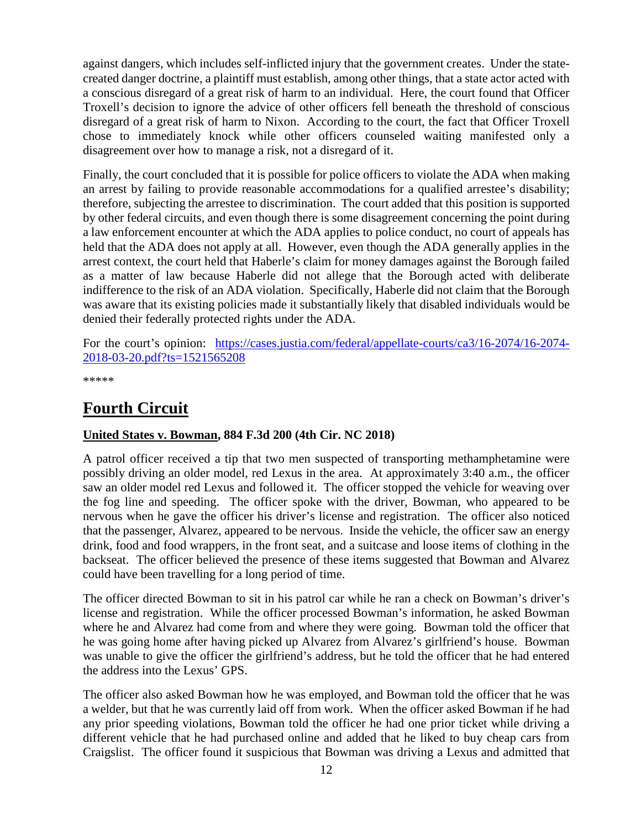against dangers, which includes self-inflicted injury that the government creates. Under the statecreated danger doctrine, a plaintiff must establish, among other things, that a state actor acted with a conscious disregard of a great risk of harm to an individual. Here, the court found that Officer Troxell's decision to ignore the advice of other officers fell beneath the threshold of conscious disregard of a great risk of harm to Nixon. According to the court, the fact that Officer Troxell chose to immediately knock while other officers counseled waiting manifested only a disagreement over how to manage a risk, not a disregard of it.

Finally, the court concluded that it is possible for police officers to violate the ADA when making an arrest by failing to provide reasonable accommodations for a qualified arrestee's disability; therefore, subjecting the arrestee to discrimination. The court added that this position is supported by other federal circuits, and even though there is some disagreement concerning the point during a law enforcement encounter at which the ADA applies to police conduct, no court of appeals has held that the ADA does not apply at all. However, even though the ADA generally applies in the arrest context, the court held that Haberle's claim for money damages against the Borough failed as a matter of law because Haberle did not allege that the Borough acted with deliberate indifference to the risk of an ADA violation. Specifically, Haberle did not claim that the Borough was aware that its existing policies made it substantially likely that disabled individuals would be denied their federally protected rights under the ADA.

For the court's opinion: [https://cases.justia.com/federal/appellate-courts/ca3/16-2074/16-2074-](https://cases.justia.com/federal/appellate-courts/ca3/16-2074/16-2074-2018-03-20.pdf?ts=1521565208) [2018-03-20.pdf?ts=1521565208](https://cases.justia.com/federal/appellate-courts/ca3/16-2074/16-2074-2018-03-20.pdf?ts=1521565208)

\*\*\*\*\*

# <span id="page-11-0"></span>**Fourth Circuit**

#### <span id="page-11-1"></span>**United States v. Bowman, 884 F.3d 200 (4th Cir. NC 2018)**

A patrol officer received a tip that two men suspected of transporting methamphetamine were possibly driving an older model, red Lexus in the area. At approximately 3:40 a.m., the officer saw an older model red Lexus and followed it. The officer stopped the vehicle for weaving over the fog line and speeding. The officer spoke with the driver, Bowman, who appeared to be nervous when he gave the officer his driver's license and registration. The officer also noticed that the passenger, Alvarez, appeared to be nervous. Inside the vehicle, the officer saw an energy drink, food and food wrappers, in the front seat, and a suitcase and loose items of clothing in the backseat. The officer believed the presence of these items suggested that Bowman and Alvarez could have been travelling for a long period of time.

The officer directed Bowman to sit in his patrol car while he ran a check on Bowman's driver's license and registration. While the officer processed Bowman's information, he asked Bowman where he and Alvarez had come from and where they were going. Bowman told the officer that he was going home after having picked up Alvarez from Alvarez's girlfriend's house. Bowman was unable to give the officer the girlfriend's address, but he told the officer that he had entered the address into the Lexus' GPS.

The officer also asked Bowman how he was employed, and Bowman told the officer that he was a welder, but that he was currently laid off from work. When the officer asked Bowman if he had any prior speeding violations, Bowman told the officer he had one prior ticket while driving a different vehicle that he had purchased online and added that he liked to buy cheap cars from Craigslist. The officer found it suspicious that Bowman was driving a Lexus and admitted that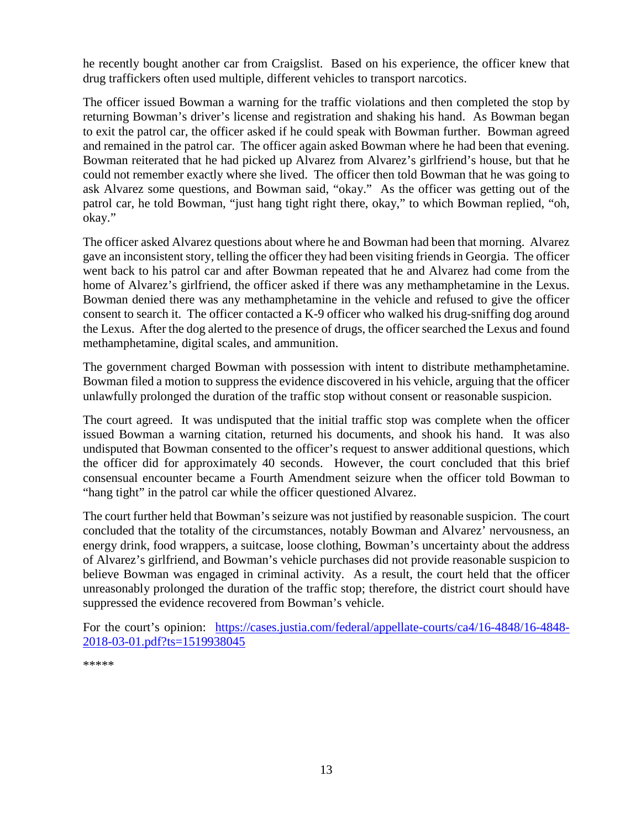he recently bought another car from Craigslist. Based on his experience, the officer knew that drug traffickers often used multiple, different vehicles to transport narcotics.

The officer issued Bowman a warning for the traffic violations and then completed the stop by returning Bowman's driver's license and registration and shaking his hand. As Bowman began to exit the patrol car, the officer asked if he could speak with Bowman further. Bowman agreed and remained in the patrol car. The officer again asked Bowman where he had been that evening. Bowman reiterated that he had picked up Alvarez from Alvarez's girlfriend's house, but that he could not remember exactly where she lived. The officer then told Bowman that he was going to ask Alvarez some questions, and Bowman said, "okay." As the officer was getting out of the patrol car, he told Bowman, "just hang tight right there, okay," to which Bowman replied, "oh, okay."

The officer asked Alvarez questions about where he and Bowman had been that morning. Alvarez gave an inconsistent story, telling the officer they had been visiting friends in Georgia. The officer went back to his patrol car and after Bowman repeated that he and Alvarez had come from the home of Alvarez's girlfriend, the officer asked if there was any methamphetamine in the Lexus. Bowman denied there was any methamphetamine in the vehicle and refused to give the officer consent to search it. The officer contacted a K-9 officer who walked his drug-sniffing dog around the Lexus. After the dog alerted to the presence of drugs, the officer searched the Lexus and found methamphetamine, digital scales, and ammunition.

The government charged Bowman with possession with intent to distribute methamphetamine. Bowman filed a motion to suppress the evidence discovered in his vehicle, arguing that the officer unlawfully prolonged the duration of the traffic stop without consent or reasonable suspicion.

The court agreed. It was undisputed that the initial traffic stop was complete when the officer issued Bowman a warning citation, returned his documents, and shook his hand. It was also undisputed that Bowman consented to the officer's request to answer additional questions, which the officer did for approximately 40 seconds. However, the court concluded that this brief consensual encounter became a Fourth Amendment seizure when the officer told Bowman to "hang tight" in the patrol car while the officer questioned Alvarez.

The court further held that Bowman's seizure was not justified by reasonable suspicion. The court concluded that the totality of the circumstances, notably Bowman and Alvarez' nervousness, an energy drink, food wrappers, a suitcase, loose clothing, Bowman's uncertainty about the address of Alvarez's girlfriend, and Bowman's vehicle purchases did not provide reasonable suspicion to believe Bowman was engaged in criminal activity. As a result, the court held that the officer unreasonably prolonged the duration of the traffic stop; therefore, the district court should have suppressed the evidence recovered from Bowman's vehicle.

For the court's opinion: [https://cases.justia.com/federal/appellate-courts/ca4/16-4848/16-4848-](https://cases.justia.com/federal/appellate-courts/ca4/16-4848/16-4848-2018-03-01.pdf?ts=1519938045) [2018-03-01.pdf?ts=1519938045](https://cases.justia.com/federal/appellate-courts/ca4/16-4848/16-4848-2018-03-01.pdf?ts=1519938045)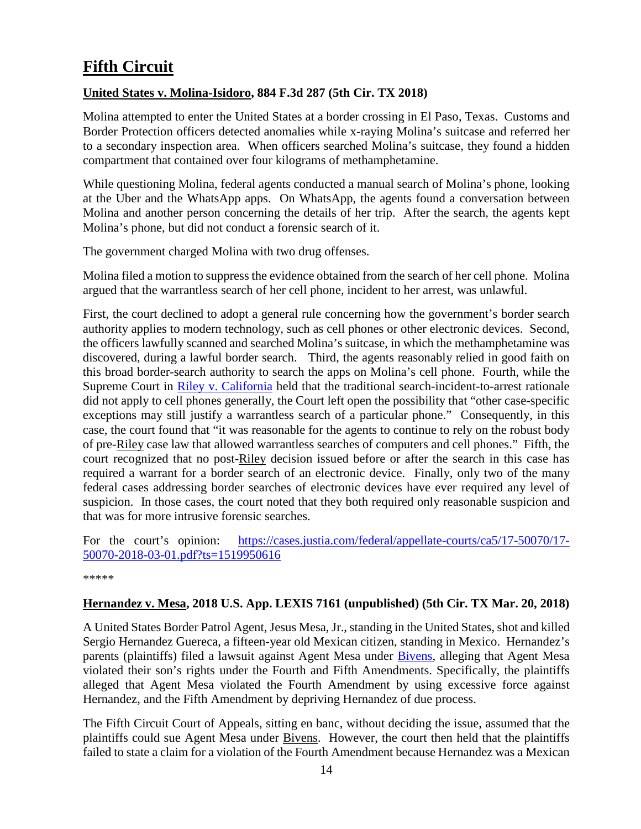# <span id="page-13-0"></span>**Fifth Circuit**

#### <span id="page-13-1"></span>**United States v. Molina-Isidoro, 884 F.3d 287 (5th Cir. TX 2018)**

Molina attempted to enter the United States at a border crossing in El Paso, Texas. Customs and Border Protection officers detected anomalies while x-raying Molina's suitcase and referred her to a secondary inspection area. When officers searched Molina's suitcase, they found a hidden compartment that contained over four kilograms of methamphetamine.

While questioning Molina, federal agents conducted a manual search of Molina's phone, looking at the Uber and the WhatsApp apps. On WhatsApp, the agents found a conversation between Molina and another person concerning the details of her trip. After the search, the agents kept Molina's phone, but did not conduct a forensic search of it.

The government charged Molina with two drug offenses.

Molina filed a motion to suppress the evidence obtained from the search of her cell phone. Molina argued that the warrantless search of her cell phone, incident to her arrest, was unlawful.

First, the court declined to adopt a general rule concerning how the government's border search authority applies to modern technology, such as cell phones or other electronic devices. Second, the officers lawfully scanned and searched Molina's suitcase, in which the methamphetamine was discovered, during a lawful border search. Third, the agents reasonably relied in good faith on this broad border-search authority to search the apps on Molina's cell phone. Fourth, while the Supreme Court in [Riley v. California](https://www.supremecourt.gov/opinions/13pdf/13-132_8l9c.pdf) held that the traditional search-incident-to-arrest rationale did not apply to cell phones generally, the Court left open the possibility that "other case-specific exceptions may still justify a warrantless search of a particular phone." Consequently, in this case, the court found that "it was reasonable for the agents to continue to rely on the robust body of pre-Riley case law that allowed warrantless searches of computers and cell phones." Fifth, the court recognized that no post-Riley decision issued before or after the search in this case has required a warrant for a border search of an electronic device. Finally, only two of the many federal cases addressing border searches of electronic devices have ever required any level of suspicion. In those cases, the court noted that they both required only reasonable suspicion and that was for more intrusive forensic searches.

For the court's opinion: [https://cases.justia.com/federal/appellate-courts/ca5/17-50070/17-](https://cases.justia.com/federal/appellate-courts/ca5/17-50070/17-50070-2018-03-01.pdf?ts=1519950616) [50070-2018-03-01.pdf?ts=1519950616](https://cases.justia.com/federal/appellate-courts/ca5/17-50070/17-50070-2018-03-01.pdf?ts=1519950616)

\*\*\*\*\*

#### <span id="page-13-2"></span>**Hernandez v. Mesa, 2018 U.S. App. LEXIS 7161 (unpublished) (5th Cir. TX Mar. 20, 2018)**

A United States Border Patrol Agent, Jesus Mesa, Jr., standing in the United States, shot and killed Sergio Hernandez Guereca, a fifteen-year old Mexican citizen, standing in Mexico. Hernandez's parents (plaintiffs) filed a lawsuit against Agent Mesa under [Bivens,](https://supreme.justia.com/cases/federal/us/403/388/case.html) alleging that Agent Mesa violated their son's rights under the Fourth and Fifth Amendments. Specifically, the plaintiffs alleged that Agent Mesa violated the Fourth Amendment by using excessive force against Hernandez, and the Fifth Amendment by depriving Hernandez of due process.

The Fifth Circuit Court of Appeals, sitting en banc, without deciding the issue, assumed that the plaintiffs could sue Agent Mesa under Bivens. However, the court then held that the plaintiffs failed to state a claim for a violation of the Fourth Amendment because Hernandez was a Mexican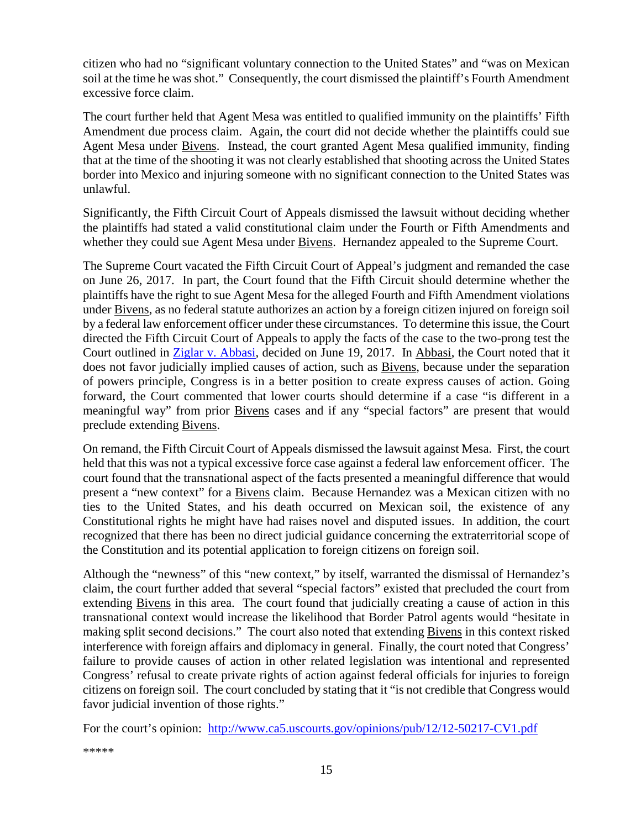citizen who had no "significant voluntary connection to the United States" and "was on Mexican soil at the time he was shot." Consequently, the court dismissed the plaintiff's Fourth Amendment excessive force claim.

The court further held that Agent Mesa was entitled to qualified immunity on the plaintiffs' Fifth Amendment due process claim. Again, the court did not decide whether the plaintiffs could sue Agent Mesa under Bivens. Instead, the court granted Agent Mesa qualified immunity, finding that at the time of the shooting it was not clearly established that shooting across the United States border into Mexico and injuring someone with no significant connection to the United States was unlawful.

Significantly, the Fifth Circuit Court of Appeals dismissed the lawsuit without deciding whether the plaintiffs had stated a valid constitutional claim under the Fourth or Fifth Amendments and whether they could sue Agent Mesa under Bivens. Hernandez appealed to the Supreme Court.

The Supreme Court vacated the Fifth Circuit Court of Appeal's judgment and remanded the case on June 26, 2017. In part, the Court found that the Fifth Circuit should determine whether the plaintiffs have the right to sue Agent Mesa for the alleged Fourth and Fifth Amendment violations under Bivens, as no federal statute authorizes an action by a foreign citizen injured on foreign soil by a federal law enforcement officer under these circumstances. To determine this issue, the Court directed the Fifth Circuit Court of Appeals to apply the facts of the case to the two-prong test the Court outlined in [Ziglar v. Abbasi,](https://www.supremecourt.gov/opinions/16pdf/15-1358_6khn.pdf) decided on June 19, 2017. In Abbasi, the Court noted that it does not favor judicially implied causes of action, such as Bivens, because under the separation of powers principle, Congress is in a better position to create express causes of action. Going forward, the Court commented that lower courts should determine if a case "is different in a meaningful way" from prior Bivens cases and if any "special factors" are present that would preclude extending Bivens.

On remand, the Fifth Circuit Court of Appeals dismissed the lawsuit against Mesa. First, the court held that this was not a typical excessive force case against a federal law enforcement officer. The court found that the transnational aspect of the facts presented a meaningful difference that would present a "new context" for a Bivens claim. Because Hernandez was a Mexican citizen with no ties to the United States, and his death occurred on Mexican soil, the existence of any Constitutional rights he might have had raises novel and disputed issues. In addition, the court recognized that there has been no direct judicial guidance concerning the extraterritorial scope of the Constitution and its potential application to foreign citizens on foreign soil.

Although the "newness" of this "new context," by itself, warranted the dismissal of Hernandez's claim, the court further added that several "special factors" existed that precluded the court from extending Bivens in this area. The court found that judicially creating a cause of action in this transnational context would increase the likelihood that Border Patrol agents would "hesitate in making split second decisions." The court also noted that extending Bivens in this context risked interference with foreign affairs and diplomacy in general. Finally, the court noted that Congress' failure to provide causes of action in other related legislation was intentional and represented Congress' refusal to create private rights of action against federal officials for injuries to foreign citizens on foreign soil. The court concluded by stating that it "is not credible that Congress would favor judicial invention of those rights."

For the court's opinion: <http://www.ca5.uscourts.gov/opinions/pub/12/12-50217-CV1.pdf>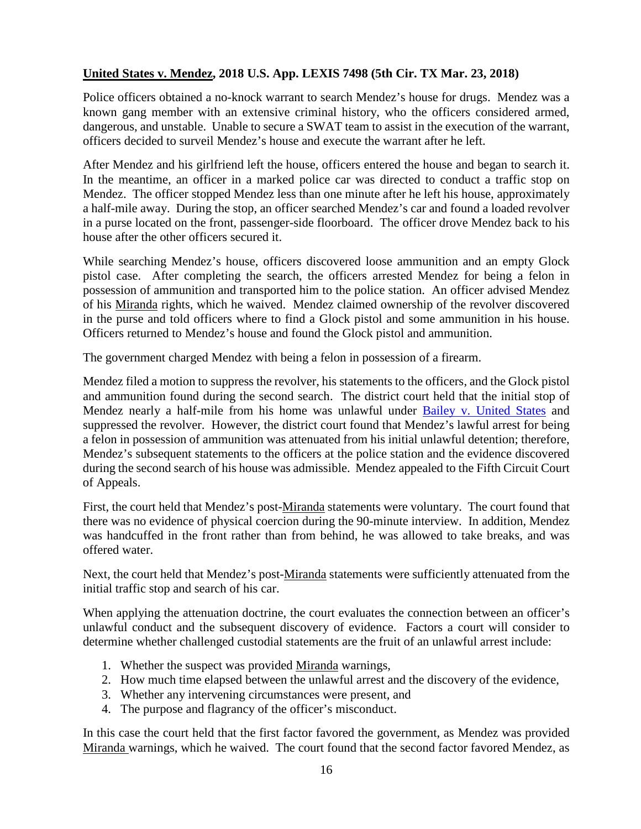#### <span id="page-15-0"></span>**United States v. Mendez, 2018 U.S. App. LEXIS 7498 (5th Cir. TX Mar. 23, 2018)**

Police officers obtained a no-knock warrant to search Mendez's house for drugs. Mendez was a known gang member with an extensive criminal history, who the officers considered armed, dangerous, and unstable. Unable to secure a SWAT team to assist in the execution of the warrant, officers decided to surveil Mendez's house and execute the warrant after he left.

After Mendez and his girlfriend left the house, officers entered the house and began to search it. In the meantime, an officer in a marked police car was directed to conduct a traffic stop on Mendez. The officer stopped Mendez less than one minute after he left his house, approximately a half-mile away. During the stop, an officer searched Mendez's car and found a loaded revolver in a purse located on the front, passenger-side floorboard. The officer drove Mendez back to his house after the other officers secured it.

While searching Mendez's house, officers discovered loose ammunition and an empty Glock pistol case. After completing the search, the officers arrested Mendez for being a felon in possession of ammunition and transported him to the police station. An officer advised Mendez of his Miranda rights, which he waived. Mendez claimed ownership of the revolver discovered in the purse and told officers where to find a Glock pistol and some ammunition in his house. Officers returned to Mendez's house and found the Glock pistol and ammunition.

The government charged Mendez with being a felon in possession of a firearm.

Mendez filed a motion to suppress the revolver, his statements to the officers, and the Glock pistol and ammunition found during the second search. The district court held that the initial stop of Mendez nearly a half-mile from his home was unlawful under [Bailey v. United States](https://www.supremecourt.gov/opinions/12pdf/11-770_j4ek.pdf) and suppressed the revolver. However, the district court found that Mendez's lawful arrest for being a felon in possession of ammunition was attenuated from his initial unlawful detention; therefore, Mendez's subsequent statements to the officers at the police station and the evidence discovered during the second search of his house was admissible. Mendez appealed to the Fifth Circuit Court of Appeals.

First, the court held that Mendez's post-Miranda statements were voluntary. The court found that there was no evidence of physical coercion during the 90-minute interview. In addition, Mendez was handcuffed in the front rather than from behind, he was allowed to take breaks, and was offered water.

Next, the court held that Mendez's post-Miranda statements were sufficiently attenuated from the initial traffic stop and search of his car.

When applying the attenuation doctrine, the court evaluates the connection between an officer's unlawful conduct and the subsequent discovery of evidence. Factors a court will consider to determine whether challenged custodial statements are the fruit of an unlawful arrest include:

- 1. Whether the suspect was provided Miranda warnings,
- 2. How much time elapsed between the unlawful arrest and the discovery of the evidence,
- 3. Whether any intervening circumstances were present, and
- 4. The purpose and flagrancy of the officer's misconduct.

In this case the court held that the first factor favored the government, as Mendez was provided Miranda warnings, which he waived. The court found that the second factor favored Mendez, as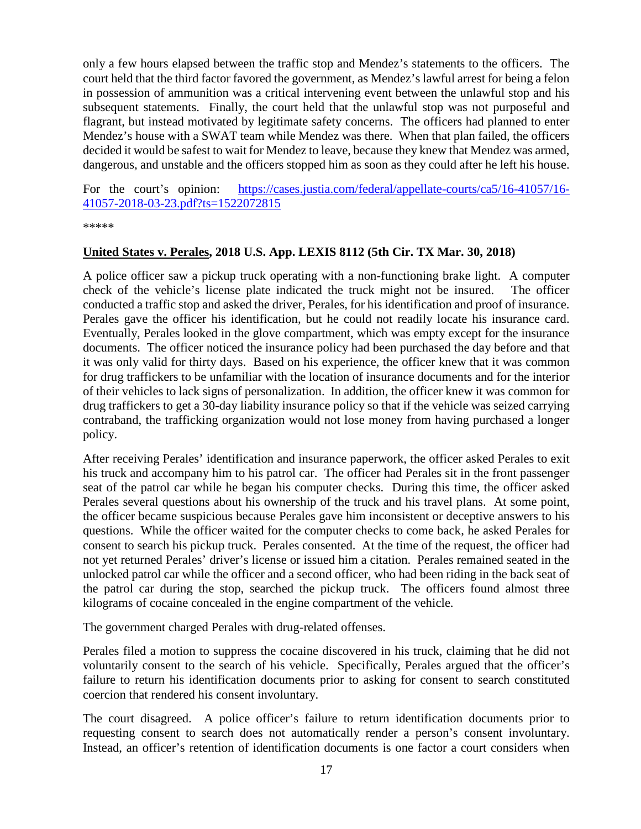only a few hours elapsed between the traffic stop and Mendez's statements to the officers. The court held that the third factor favored the government, as Mendez's lawful arrest for being a felon in possession of ammunition was a critical intervening event between the unlawful stop and his subsequent statements. Finally, the court held that the unlawful stop was not purposeful and flagrant, but instead motivated by legitimate safety concerns. The officers had planned to enter Mendez's house with a SWAT team while Mendez was there. When that plan failed, the officers decided it would be safest to wait for Mendez to leave, because they knew that Mendez was armed, dangerous, and unstable and the officers stopped him as soon as they could after he left his house.

For the court's opinion: [https://cases.justia.com/federal/appellate-courts/ca5/16-41057/16-](https://cases.justia.com/federal/appellate-courts/ca5/16-41057/16-41057-2018-03-23.pdf?ts=1522072815) [41057-2018-03-23.pdf?ts=1522072815](https://cases.justia.com/federal/appellate-courts/ca5/16-41057/16-41057-2018-03-23.pdf?ts=1522072815)

\*\*\*\*\*

#### <span id="page-16-0"></span>**United States v. Perales, 2018 U.S. App. LEXIS 8112 (5th Cir. TX Mar. 30, 2018)**

A police officer saw a pickup truck operating with a non-functioning brake light. A computer check of the vehicle's license plate indicated the truck might not be insured. The officer conducted a traffic stop and asked the driver, Perales, for his identification and proof of insurance. Perales gave the officer his identification, but he could not readily locate his insurance card. Eventually, Perales looked in the glove compartment, which was empty except for the insurance documents. The officer noticed the insurance policy had been purchased the day before and that it was only valid for thirty days. Based on his experience, the officer knew that it was common for drug traffickers to be unfamiliar with the location of insurance documents and for the interior of their vehicles to lack signs of personalization. In addition, the officer knew it was common for drug traffickers to get a 30-day liability insurance policy so that if the vehicle was seized carrying contraband, the trafficking organization would not lose money from having purchased a longer policy.

After receiving Perales' identification and insurance paperwork, the officer asked Perales to exit his truck and accompany him to his patrol car. The officer had Perales sit in the front passenger seat of the patrol car while he began his computer checks. During this time, the officer asked Perales several questions about his ownership of the truck and his travel plans. At some point, the officer became suspicious because Perales gave him inconsistent or deceptive answers to his questions. While the officer waited for the computer checks to come back, he asked Perales for consent to search his pickup truck. Perales consented. At the time of the request, the officer had not yet returned Perales' driver's license or issued him a citation. Perales remained seated in the unlocked patrol car while the officer and a second officer, who had been riding in the back seat of the patrol car during the stop, searched the pickup truck. The officers found almost three kilograms of cocaine concealed in the engine compartment of the vehicle.

The government charged Perales with drug-related offenses.

Perales filed a motion to suppress the cocaine discovered in his truck, claiming that he did not voluntarily consent to the search of his vehicle. Specifically, Perales argued that the officer's failure to return his identification documents prior to asking for consent to search constituted coercion that rendered his consent involuntary.

The court disagreed. A police officer's failure to return identification documents prior to requesting consent to search does not automatically render a person's consent involuntary. Instead, an officer's retention of identification documents is one factor a court considers when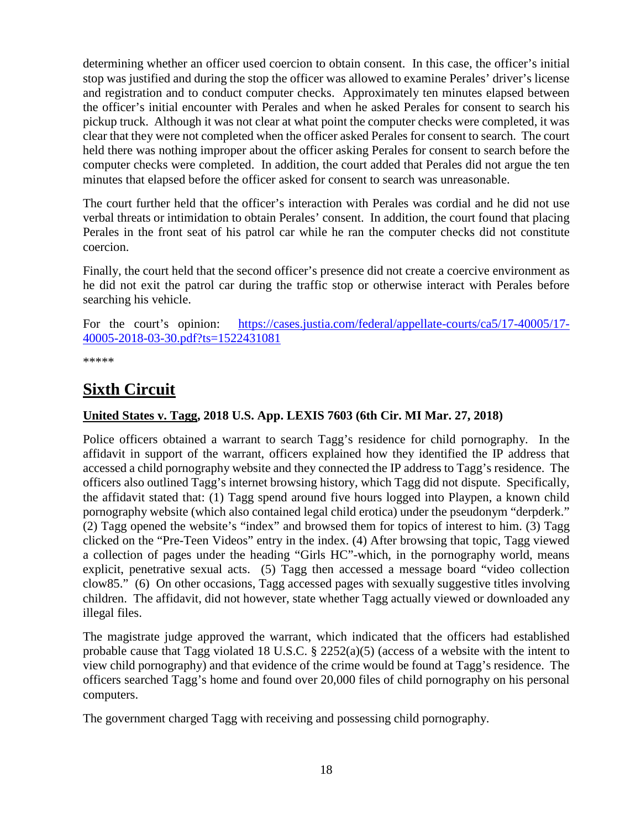determining whether an officer used coercion to obtain consent. In this case, the officer's initial stop was justified and during the stop the officer was allowed to examine Perales' driver's license and registration and to conduct computer checks. Approximately ten minutes elapsed between the officer's initial encounter with Perales and when he asked Perales for consent to search his pickup truck. Although it was not clear at what point the computer checks were completed, it was clear that they were not completed when the officer asked Perales for consent to search. The court held there was nothing improper about the officer asking Perales for consent to search before the computer checks were completed. In addition, the court added that Perales did not argue the ten minutes that elapsed before the officer asked for consent to search was unreasonable.

The court further held that the officer's interaction with Perales was cordial and he did not use verbal threats or intimidation to obtain Perales' consent. In addition, the court found that placing Perales in the front seat of his patrol car while he ran the computer checks did not constitute coercion.

Finally, the court held that the second officer's presence did not create a coercive environment as he did not exit the patrol car during the traffic stop or otherwise interact with Perales before searching his vehicle.

For the court's opinion: [https://cases.justia.com/federal/appellate-courts/ca5/17-40005/17-](https://cases.justia.com/federal/appellate-courts/ca5/17-40005/17-40005-2018-03-30.pdf?ts=1522431081) [40005-2018-03-30.pdf?ts=1522431081](https://cases.justia.com/federal/appellate-courts/ca5/17-40005/17-40005-2018-03-30.pdf?ts=1522431081)

\*\*\*\*\*

# <span id="page-17-0"></span>**Sixth Circuit**

#### <span id="page-17-1"></span>**United States v. Tagg, 2018 U.S. App. LEXIS 7603 (6th Cir. MI Mar. 27, 2018)**

Police officers obtained a warrant to search Tagg's residence for child pornography. In the affidavit in support of the warrant, officers explained how they identified the IP address that accessed a child pornography website and they connected the IP address to Tagg's residence. The officers also outlined Tagg's internet browsing history, which Tagg did not dispute. Specifically, the affidavit stated that: (1) Tagg spend around five hours logged into Playpen, a known child pornography website (which also contained legal child erotica) under the pseudonym "derpderk." (2) Tagg opened the website's "index" and browsed them for topics of interest to him. (3) Tagg clicked on the "Pre-Teen Videos" entry in the index. (4) After browsing that topic, Tagg viewed a collection of pages under the heading "Girls HC"-which, in the pornography world, means explicit, penetrative sexual acts. (5) Tagg then accessed a message board "video collection clow85." (6) On other occasions, Tagg accessed pages with sexually suggestive titles involving children. The affidavit, did not however, state whether Tagg actually viewed or downloaded any illegal files.

The magistrate judge approved the warrant, which indicated that the officers had established probable cause that Tagg violated 18 U.S.C. § 2252(a)(5) (access of a website with the intent to view child pornography) and that evidence of the crime would be found at Tagg's residence. The officers searched Tagg's home and found over 20,000 files of child pornography on his personal computers.

The government charged Tagg with receiving and possessing child pornography.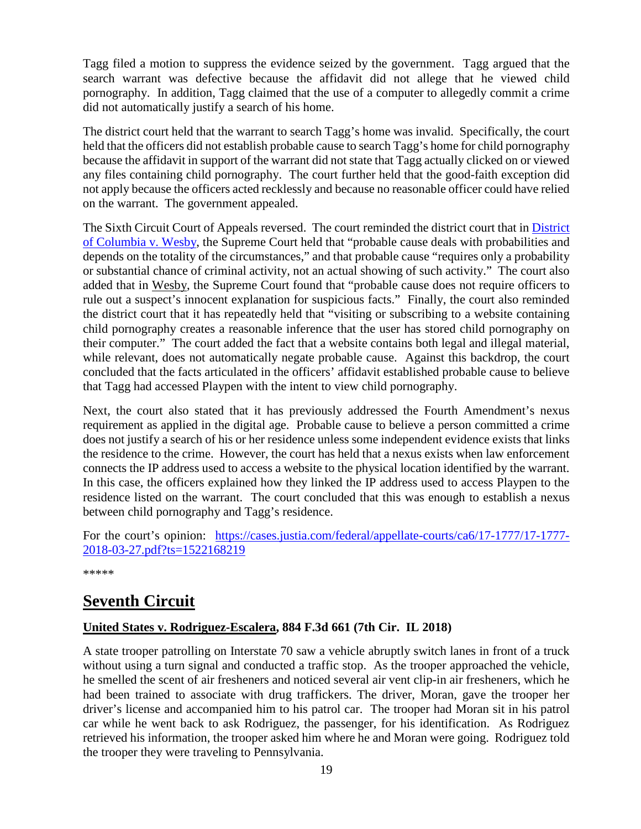Tagg filed a motion to suppress the evidence seized by the government. Tagg argued that the search warrant was defective because the affidavit did not allege that he viewed child pornography. In addition, Tagg claimed that the use of a computer to allegedly commit a crime did not automatically justify a search of his home.

The district court held that the warrant to search Tagg's home was invalid. Specifically, the court held that the officers did not establish probable cause to search Tagg's home for child pornography because the affidavit in support of the warrant did not state that Tagg actually clicked on or viewed any files containing child pornography. The court further held that the good-faith exception did not apply because the officers acted recklessly and because no reasonable officer could have relied on the warrant. The government appealed.

The Sixth Circuit Court of Appeals reversed. The court reminded the district court that in **District** [of Columbia v. Wesby,](https://www.supremecourt.gov/opinions/17pdf/15-1485_new_8n59.pdf) the Supreme Court held that "probable cause deals with probabilities and depends on the totality of the circumstances," and that probable cause "requires only a probability or substantial chance of criminal activity, not an actual showing of such activity." The court also added that in Wesby, the Supreme Court found that "probable cause does not require officers to rule out a suspect's innocent explanation for suspicious facts." Finally, the court also reminded the district court that it has repeatedly held that "visiting or subscribing to a website containing child pornography creates a reasonable inference that the user has stored child pornography on their computer." The court added the fact that a website contains both legal and illegal material, while relevant, does not automatically negate probable cause. Against this backdrop, the court concluded that the facts articulated in the officers' affidavit established probable cause to believe that Tagg had accessed Playpen with the intent to view child pornography.

Next, the court also stated that it has previously addressed the Fourth Amendment's nexus requirement as applied in the digital age. Probable cause to believe a person committed a crime does not justify a search of his or her residence unless some independent evidence exists that links the residence to the crime. However, the court has held that a nexus exists when law enforcement connects the IP address used to access a website to the physical location identified by the warrant. In this case, the officers explained how they linked the IP address used to access Playpen to the residence listed on the warrant. The court concluded that this was enough to establish a nexus between child pornography and Tagg's residence.

For the court's opinion: [https://cases.justia.com/federal/appellate-courts/ca6/17-1777/17-1777-](https://cases.justia.com/federal/appellate-courts/ca6/17-1777/17-1777-2018-03-27.pdf?ts=1522168219) [2018-03-27.pdf?ts=1522168219](https://cases.justia.com/federal/appellate-courts/ca6/17-1777/17-1777-2018-03-27.pdf?ts=1522168219)

\*\*\*\*\*

## <span id="page-18-0"></span>**Seventh Circuit**

#### <span id="page-18-1"></span>**United States v. Rodriguez-Escalera, 884 F.3d 661 (7th Cir. IL 2018)**

A state trooper patrolling on Interstate 70 saw a vehicle abruptly switch lanes in front of a truck without using a turn signal and conducted a traffic stop. As the trooper approached the vehicle, he smelled the scent of air fresheners and noticed several air vent clip-in air fresheners, which he had been trained to associate with drug traffickers. The driver, Moran, gave the trooper her driver's license and accompanied him to his patrol car. The trooper had Moran sit in his patrol car while he went back to ask Rodriguez, the passenger, for his identification. As Rodriguez retrieved his information, the trooper asked him where he and Moran were going. Rodriguez told the trooper they were traveling to Pennsylvania.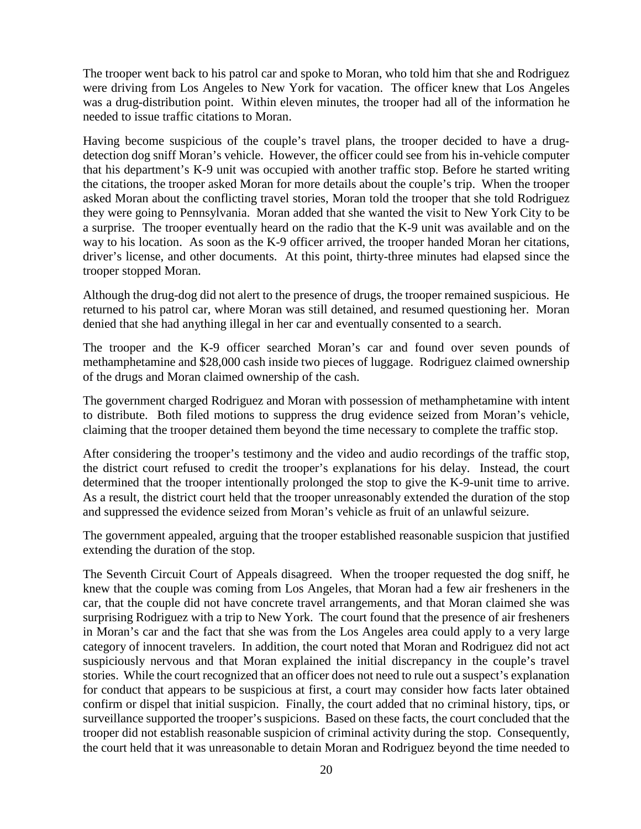The trooper went back to his patrol car and spoke to Moran, who told him that she and Rodriguez were driving from Los Angeles to New York for vacation. The officer knew that Los Angeles was a drug-distribution point. Within eleven minutes, the trooper had all of the information he needed to issue traffic citations to Moran.

Having become suspicious of the couple's travel plans, the trooper decided to have a drugdetection dog sniff Moran's vehicle. However, the officer could see from his in-vehicle computer that his department's K-9 unit was occupied with another traffic stop. Before he started writing the citations, the trooper asked Moran for more details about the couple's trip. When the trooper asked Moran about the conflicting travel stories, Moran told the trooper that she told Rodriguez they were going to Pennsylvania. Moran added that she wanted the visit to New York City to be a surprise. The trooper eventually heard on the radio that the K-9 unit was available and on the way to his location. As soon as the K-9 officer arrived, the trooper handed Moran her citations, driver's license, and other documents. At this point, thirty-three minutes had elapsed since the trooper stopped Moran.

Although the drug-dog did not alert to the presence of drugs, the trooper remained suspicious. He returned to his patrol car, where Moran was still detained, and resumed questioning her. Moran denied that she had anything illegal in her car and eventually consented to a search.

The trooper and the K-9 officer searched Moran's car and found over seven pounds of methamphetamine and \$28,000 cash inside two pieces of luggage. Rodriguez claimed ownership of the drugs and Moran claimed ownership of the cash.

The government charged Rodriguez and Moran with possession of methamphetamine with intent to distribute. Both filed motions to suppress the drug evidence seized from Moran's vehicle, claiming that the trooper detained them beyond the time necessary to complete the traffic stop.

After considering the trooper's testimony and the video and audio recordings of the traffic stop, the district court refused to credit the trooper's explanations for his delay. Instead, the court determined that the trooper intentionally prolonged the stop to give the K-9-unit time to arrive. As a result, the district court held that the trooper unreasonably extended the duration of the stop and suppressed the evidence seized from Moran's vehicle as fruit of an unlawful seizure.

The government appealed, arguing that the trooper established reasonable suspicion that justified extending the duration of the stop.

The Seventh Circuit Court of Appeals disagreed. When the trooper requested the dog sniff, he knew that the couple was coming from Los Angeles, that Moran had a few air fresheners in the car, that the couple did not have concrete travel arrangements, and that Moran claimed she was surprising Rodriguez with a trip to New York. The court found that the presence of air fresheners in Moran's car and the fact that she was from the Los Angeles area could apply to a very large category of innocent travelers. In addition, the court noted that Moran and Rodriguez did not act suspiciously nervous and that Moran explained the initial discrepancy in the couple's travel stories. While the court recognized that an officer does not need to rule out a suspect's explanation for conduct that appears to be suspicious at first, a court may consider how facts later obtained confirm or dispel that initial suspicion. Finally, the court added that no criminal history, tips, or surveillance supported the trooper's suspicions. Based on these facts, the court concluded that the trooper did not establish reasonable suspicion of criminal activity during the stop. Consequently, the court held that it was unreasonable to detain Moran and Rodriguez beyond the time needed to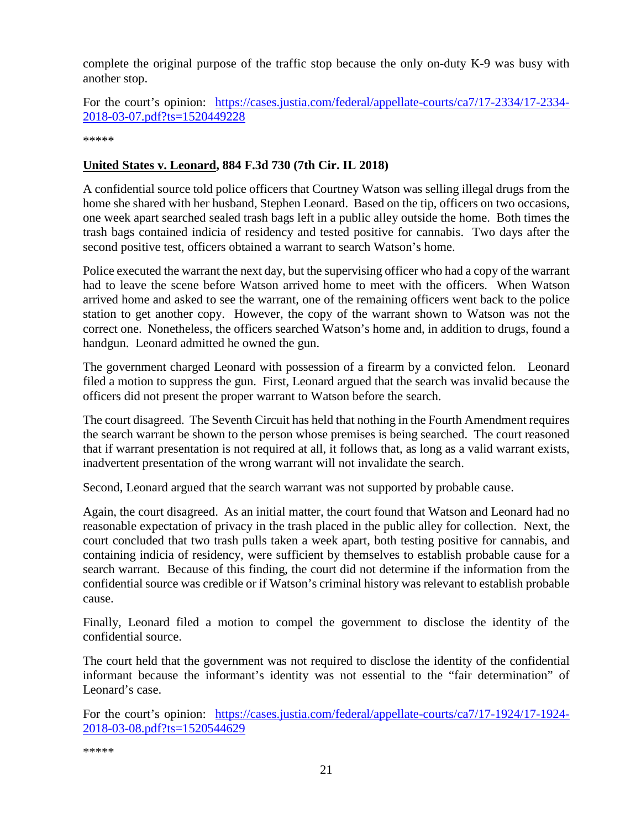complete the original purpose of the traffic stop because the only on-duty K-9 was busy with another stop.

For the court's opinion: [https://cases.justia.com/federal/appellate-courts/ca7/17-2334/17-2334-](https://cases.justia.com/federal/appellate-courts/ca7/17-2334/17-2334-2018-03-07.pdf?ts=1520449228) [2018-03-07.pdf?ts=1520449228](https://cases.justia.com/federal/appellate-courts/ca7/17-2334/17-2334-2018-03-07.pdf?ts=1520449228)

\*\*\*\*\*

#### <span id="page-20-0"></span>**United States v. Leonard, 884 F.3d 730 (7th Cir. IL 2018)**

A confidential source told police officers that Courtney Watson was selling illegal drugs from the home she shared with her husband, Stephen Leonard. Based on the tip, officers on two occasions, one week apart searched sealed trash bags left in a public alley outside the home. Both times the trash bags contained indicia of residency and tested positive for cannabis. Two days after the second positive test, officers obtained a warrant to search Watson's home.

Police executed the warrant the next day, but the supervising officer who had a copy of the warrant had to leave the scene before Watson arrived home to meet with the officers. When Watson arrived home and asked to see the warrant, one of the remaining officers went back to the police station to get another copy. However, the copy of the warrant shown to Watson was not the correct one. Nonetheless, the officers searched Watson's home and, in addition to drugs, found a handgun. Leonard admitted he owned the gun.

The government charged Leonard with possession of a firearm by a convicted felon. Leonard filed a motion to suppress the gun. First, Leonard argued that the search was invalid because the officers did not present the proper warrant to Watson before the search.

The court disagreed. The Seventh Circuit has held that nothing in the Fourth Amendment requires the search warrant be shown to the person whose premises is being searched. The court reasoned that if warrant presentation is not required at all, it follows that, as long as a valid warrant exists, inadvertent presentation of the wrong warrant will not invalidate the search.

Second, Leonard argued that the search warrant was not supported by probable cause.

Again, the court disagreed. As an initial matter, the court found that Watson and Leonard had no reasonable expectation of privacy in the trash placed in the public alley for collection. Next, the court concluded that two trash pulls taken a week apart, both testing positive for cannabis, and containing indicia of residency, were sufficient by themselves to establish probable cause for a search warrant. Because of this finding, the court did not determine if the information from the confidential source was credible or if Watson's criminal history was relevant to establish probable cause.

Finally, Leonard filed a motion to compel the government to disclose the identity of the confidential source.

The court held that the government was not required to disclose the identity of the confidential informant because the informant's identity was not essential to the "fair determination" of Leonard's case.

For the court's opinion: [https://cases.justia.com/federal/appellate-courts/ca7/17-1924/17-1924-](https://cases.justia.com/federal/appellate-courts/ca7/17-1924/17-1924-2018-03-08.pdf?ts=1520544629) [2018-03-08.pdf?ts=1520544629](https://cases.justia.com/federal/appellate-courts/ca7/17-1924/17-1924-2018-03-08.pdf?ts=1520544629)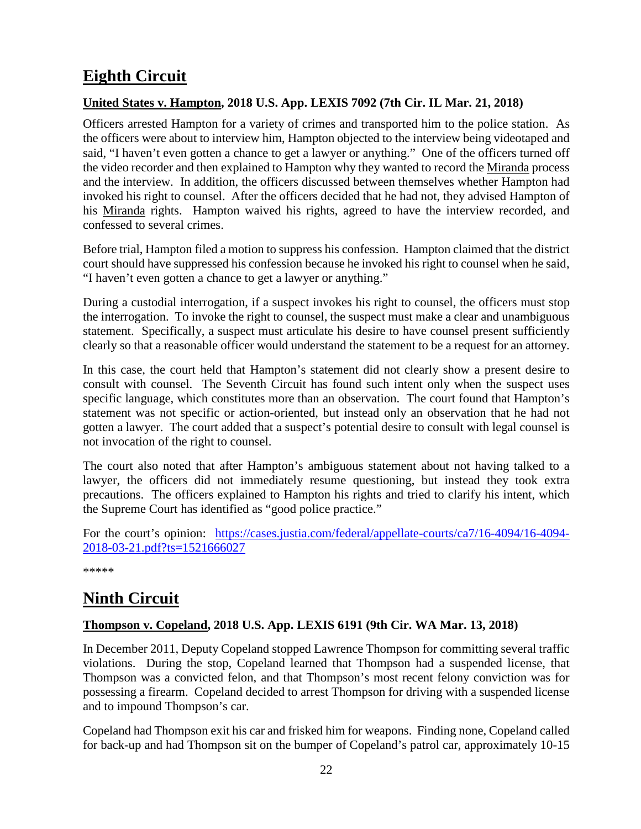# <span id="page-21-0"></span>**Eighth Circuit**

#### <span id="page-21-1"></span>**United States v. Hampton, 2018 U.S. App. LEXIS 7092 (7th Cir. IL Mar. 21, 2018)**

Officers arrested Hampton for a variety of crimes and transported him to the police station. As the officers were about to interview him, Hampton objected to the interview being videotaped and said, "I haven't even gotten a chance to get a lawyer or anything." One of the officers turned off the video recorder and then explained to Hampton why they wanted to record the Miranda process and the interview. In addition, the officers discussed between themselves whether Hampton had invoked his right to counsel. After the officers decided that he had not, they advised Hampton of his Miranda rights. Hampton waived his rights, agreed to have the interview recorded, and confessed to several crimes.

Before trial, Hampton filed a motion to suppress his confession. Hampton claimed that the district court should have suppressed his confession because he invoked his right to counsel when he said, "I haven't even gotten a chance to get a lawyer or anything."

During a custodial interrogation, if a suspect invokes his right to counsel, the officers must stop the interrogation. To invoke the right to counsel, the suspect must make a clear and unambiguous statement. Specifically, a suspect must articulate his desire to have counsel present sufficiently clearly so that a reasonable officer would understand the statement to be a request for an attorney.

In this case, the court held that Hampton's statement did not clearly show a present desire to consult with counsel. The Seventh Circuit has found such intent only when the suspect uses specific language, which constitutes more than an observation. The court found that Hampton's statement was not specific or action-oriented, but instead only an observation that he had not gotten a lawyer. The court added that a suspect's potential desire to consult with legal counsel is not invocation of the right to counsel.

The court also noted that after Hampton's ambiguous statement about not having talked to a lawyer, the officers did not immediately resume questioning, but instead they took extra precautions. The officers explained to Hampton his rights and tried to clarify his intent, which the Supreme Court has identified as "good police practice."

For the court's opinion: [https://cases.justia.com/federal/appellate-courts/ca7/16-4094/16-4094-](https://cases.justia.com/federal/appellate-courts/ca7/16-4094/16-4094-2018-03-21.pdf?ts=1521666027) [2018-03-21.pdf?ts=1521666027](https://cases.justia.com/federal/appellate-courts/ca7/16-4094/16-4094-2018-03-21.pdf?ts=1521666027)

\*\*\*\*\*

## <span id="page-21-2"></span>**Ninth Circuit**

#### <span id="page-21-3"></span>**Thompson v. Copeland, 2018 U.S. App. LEXIS 6191 (9th Cir. WA Mar. 13, 2018)**

In December 2011, Deputy Copeland stopped Lawrence Thompson for committing several traffic violations. During the stop, Copeland learned that Thompson had a suspended license, that Thompson was a convicted felon, and that Thompson's most recent felony conviction was for possessing a firearm. Copeland decided to arrest Thompson for driving with a suspended license and to impound Thompson's car.

Copeland had Thompson exit his car and frisked him for weapons. Finding none, Copeland called for back-up and had Thompson sit on the bumper of Copeland's patrol car, approximately 10-15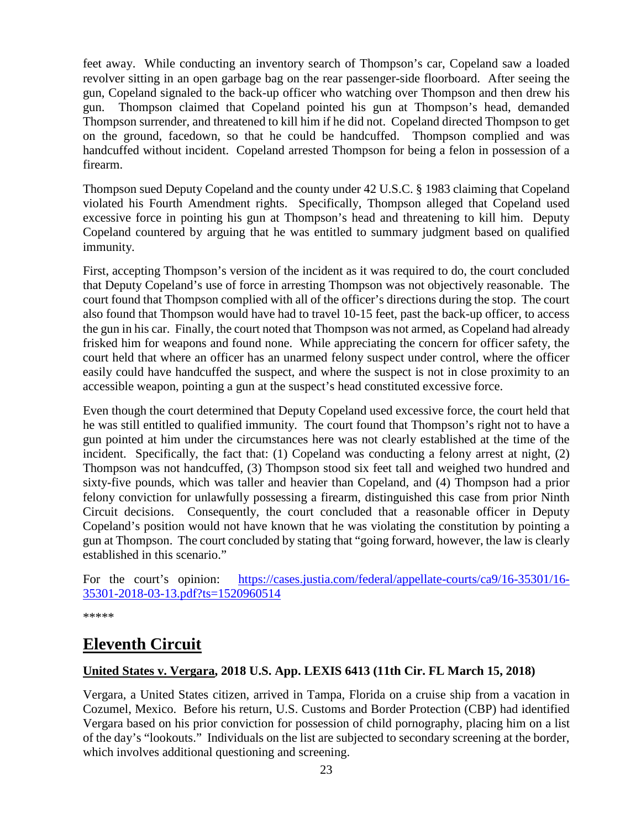feet away. While conducting an inventory search of Thompson's car, Copeland saw a loaded revolver sitting in an open garbage bag on the rear passenger-side floorboard. After seeing the gun, Copeland signaled to the back-up officer who watching over Thompson and then drew his gun. Thompson claimed that Copeland pointed his gun at Thompson's head, demanded Thompson surrender, and threatened to kill him if he did not. Copeland directed Thompson to get on the ground, facedown, so that he could be handcuffed. Thompson complied and was handcuffed without incident. Copeland arrested Thompson for being a felon in possession of a firearm.

Thompson sued Deputy Copeland and the county under 42 U.S.C. § 1983 claiming that Copeland violated his Fourth Amendment rights. Specifically, Thompson alleged that Copeland used excessive force in pointing his gun at Thompson's head and threatening to kill him. Deputy Copeland countered by arguing that he was entitled to summary judgment based on qualified immunity.

First, accepting Thompson's version of the incident as it was required to do, the court concluded that Deputy Copeland's use of force in arresting Thompson was not objectively reasonable. The court found that Thompson complied with all of the officer's directions during the stop. The court also found that Thompson would have had to travel 10-15 feet, past the back-up officer, to access the gun in his car. Finally, the court noted that Thompson was not armed, as Copeland had already frisked him for weapons and found none. While appreciating the concern for officer safety, the court held that where an officer has an unarmed felony suspect under control, where the officer easily could have handcuffed the suspect, and where the suspect is not in close proximity to an accessible weapon, pointing a gun at the suspect's head constituted excessive force.

Even though the court determined that Deputy Copeland used excessive force, the court held that he was still entitled to qualified immunity. The court found that Thompson's right not to have a gun pointed at him under the circumstances here was not clearly established at the time of the incident. Specifically, the fact that: (1) Copeland was conducting a felony arrest at night, (2) Thompson was not handcuffed, (3) Thompson stood six feet tall and weighed two hundred and sixty-five pounds, which was taller and heavier than Copeland, and (4) Thompson had a prior felony conviction for unlawfully possessing a firearm, distinguished this case from prior Ninth Circuit decisions. Consequently, the court concluded that a reasonable officer in Deputy Copeland's position would not have known that he was violating the constitution by pointing a gun at Thompson. The court concluded by stating that "going forward, however, the law is clearly established in this scenario."

For the court's opinion: [https://cases.justia.com/federal/appellate-courts/ca9/16-35301/16-](https://cases.justia.com/federal/appellate-courts/ca9/16-35301/16-35301-2018-03-13.pdf?ts=1520960514) [35301-2018-03-13.pdf?ts=1520960514](https://cases.justia.com/federal/appellate-courts/ca9/16-35301/16-35301-2018-03-13.pdf?ts=1520960514)

\*\*\*\*\*

# <span id="page-22-0"></span>**Eleventh Circuit**

#### <span id="page-22-1"></span>**United States v. Vergara, 2018 U.S. App. LEXIS 6413 (11th Cir. FL March 15, 2018)**

Vergara, a United States citizen, arrived in Tampa, Florida on a cruise ship from a vacation in Cozumel, Mexico. Before his return, U.S. Customs and Border Protection (CBP) had identified Vergara based on his prior conviction for possession of child pornography, placing him on a list of the day's "lookouts." Individuals on the list are subjected to secondary screening at the border, which involves additional questioning and screening.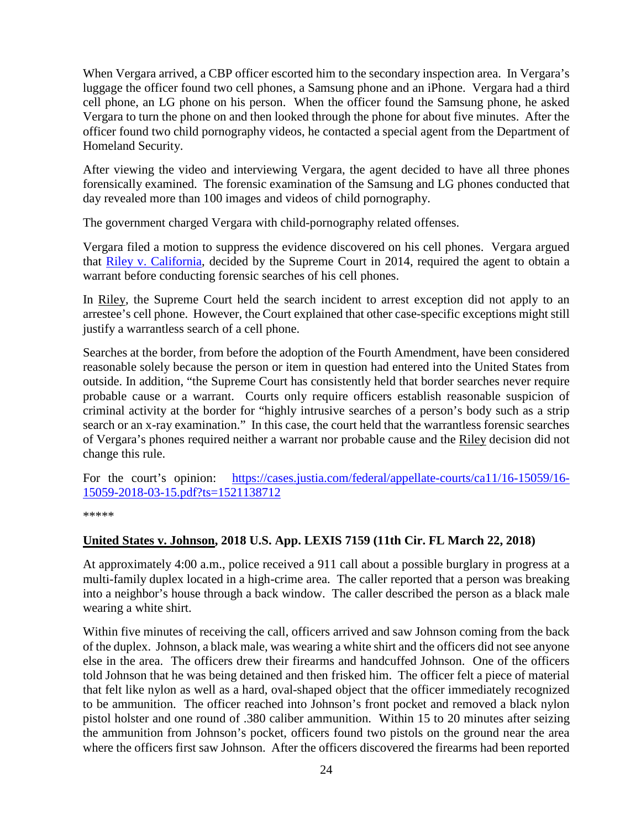When Vergara arrived, a CBP officer escorted him to the secondary inspection area. In Vergara's luggage the officer found two cell phones, a Samsung phone and an iPhone. Vergara had a third cell phone, an LG phone on his person. When the officer found the Samsung phone, he asked Vergara to turn the phone on and then looked through the phone for about five minutes. After the officer found two child pornography videos, he contacted a special agent from the Department of Homeland Security.

After viewing the video and interviewing Vergara, the agent decided to have all three phones forensically examined. The forensic examination of the Samsung and LG phones conducted that day revealed more than 100 images and videos of child pornography.

The government charged Vergara with child-pornography related offenses.

Vergara filed a motion to suppress the evidence discovered on his cell phones. Vergara argued that [Riley v. California,](https://www.supremecourt.gov/opinions/13pdf/13-132_8l9c.pdf) decided by the Supreme Court in 2014, required the agent to obtain a warrant before conducting forensic searches of his cell phones.

In Riley, the Supreme Court held the search incident to arrest exception did not apply to an arrestee's cell phone. However, the Court explained that other case-specific exceptions might still justify a warrantless search of a cell phone.

Searches at the border, from before the adoption of the Fourth Amendment, have been considered reasonable solely because the person or item in question had entered into the United States from outside. In addition, "the Supreme Court has consistently held that border searches never require probable cause or a warrant. Courts only require officers establish reasonable suspicion of criminal activity at the border for "highly intrusive searches of a person's body such as a strip search or an x-ray examination." In this case, the court held that the warrantless forensic searches of Vergara's phones required neither a warrant nor probable cause and the Riley decision did not change this rule.

For the court's opinion: [https://cases.justia.com/federal/appellate-courts/ca11/16-15059/16-](https://cases.justia.com/federal/appellate-courts/ca11/16-15059/16-15059-2018-03-15.pdf?ts=1521138712) [15059-2018-03-15.pdf?ts=1521138712](https://cases.justia.com/federal/appellate-courts/ca11/16-15059/16-15059-2018-03-15.pdf?ts=1521138712)

\*\*\*\*\*

#### <span id="page-23-0"></span>**United States v. Johnson, 2018 U.S. App. LEXIS 7159 (11th Cir. FL March 22, 2018)**

At approximately 4:00 a.m., police received a 911 call about a possible burglary in progress at a multi-family duplex located in a high-crime area. The caller reported that a person was breaking into a neighbor's house through a back window. The caller described the person as a black male wearing a white shirt.

Within five minutes of receiving the call, officers arrived and saw Johnson coming from the back of the duplex. Johnson, a black male, was wearing a white shirt and the officers did not see anyone else in the area. The officers drew their firearms and handcuffed Johnson. One of the officers told Johnson that he was being detained and then frisked him. The officer felt a piece of material that felt like nylon as well as a hard, oval-shaped object that the officer immediately recognized to be ammunition. The officer reached into Johnson's front pocket and removed a black nylon pistol holster and one round of .380 caliber ammunition. Within 15 to 20 minutes after seizing the ammunition from Johnson's pocket, officers found two pistols on the ground near the area where the officers first saw Johnson. After the officers discovered the firearms had been reported